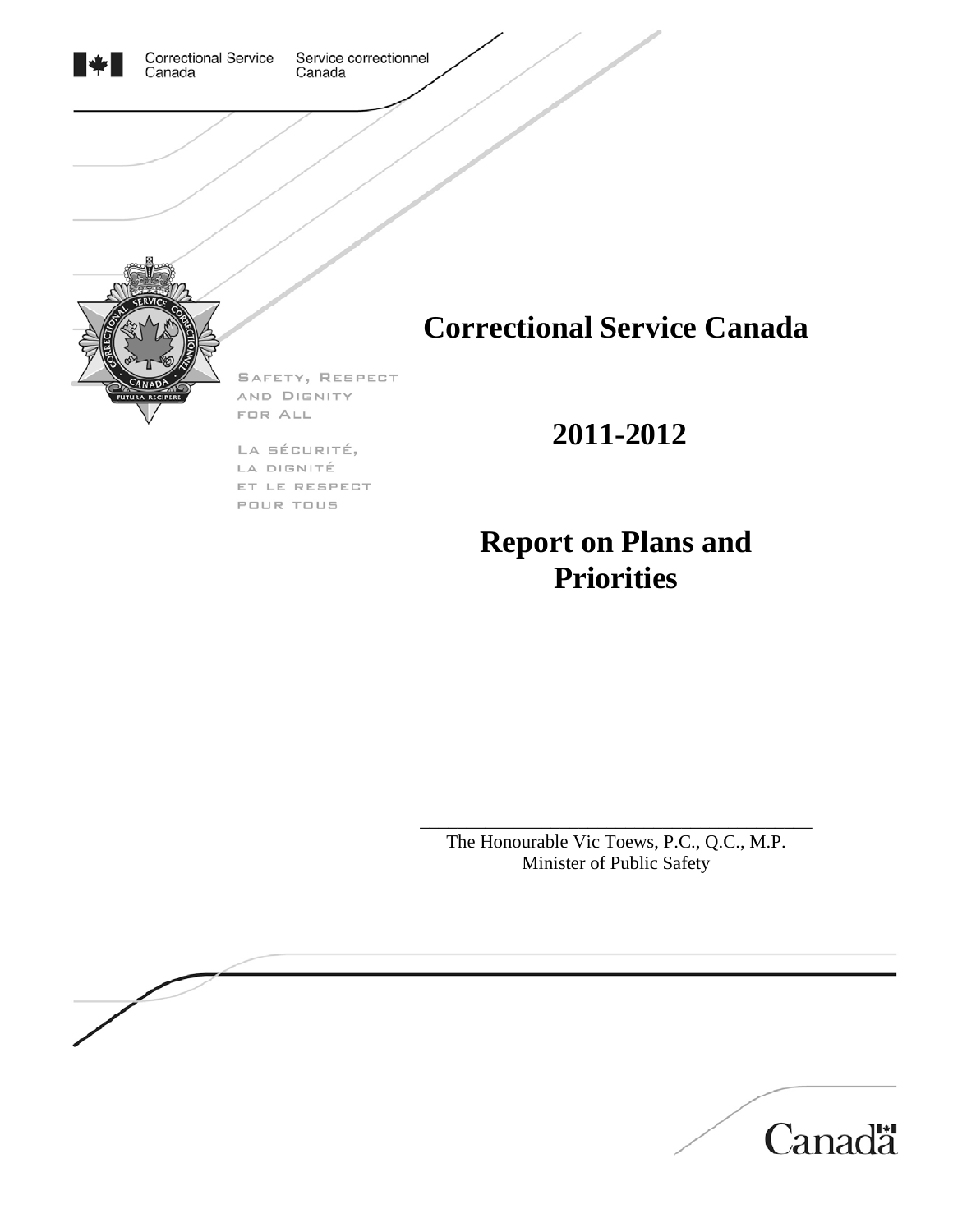

Service correctionnel<br>Canada



SAFETY, RESPECT AND DIGNITY FOR ALL

LA SÉCURITÉ, LA DIGNITÉ ET LE RESPECT POUR TOUS

# **Correctional Service Canada**

**2011-2012** 

**Report on Plans and Priorities**

The Honourable Vic Toews, P.C., Q.C., M.P. Minister of Public Safety

\_\_\_\_\_\_\_\_\_\_\_\_\_\_\_\_\_\_\_\_\_\_\_\_\_\_\_\_\_\_\_\_\_\_\_\_\_\_\_\_\_\_

**Canadä**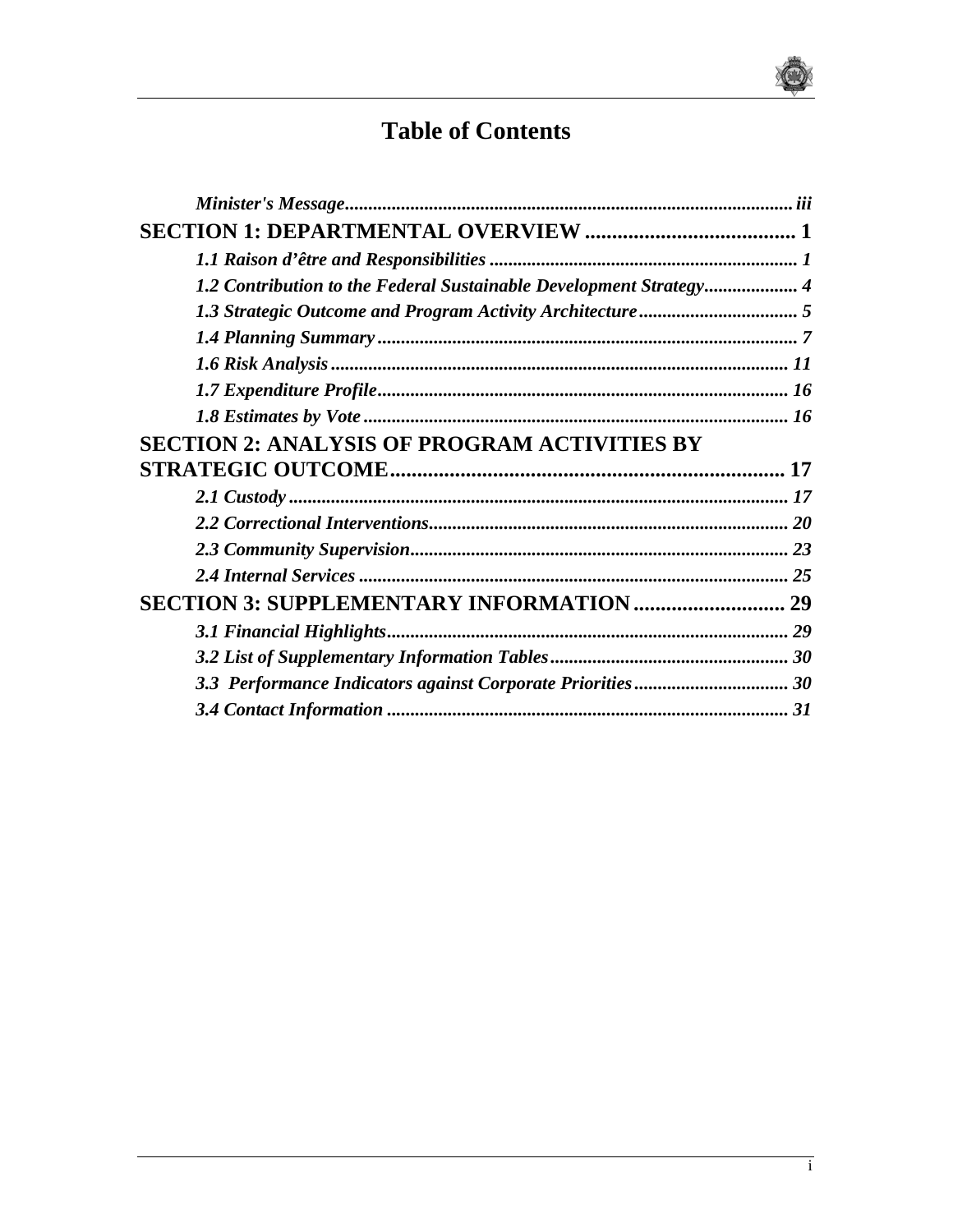

# **Table of Contents**

| 1.2 Contribution to the Federal Sustainable Development Strategy 4 |  |
|--------------------------------------------------------------------|--|
|                                                                    |  |
|                                                                    |  |
|                                                                    |  |
|                                                                    |  |
|                                                                    |  |
| <b>SECTION 2: ANALYSIS OF PROGRAM ACTIVITIES BY</b>                |  |
|                                                                    |  |
|                                                                    |  |
|                                                                    |  |
|                                                                    |  |
|                                                                    |  |
| <b>SECTION 3: SUPPLEMENTARY INFORMATION  29</b>                    |  |
|                                                                    |  |
|                                                                    |  |
|                                                                    |  |
|                                                                    |  |
|                                                                    |  |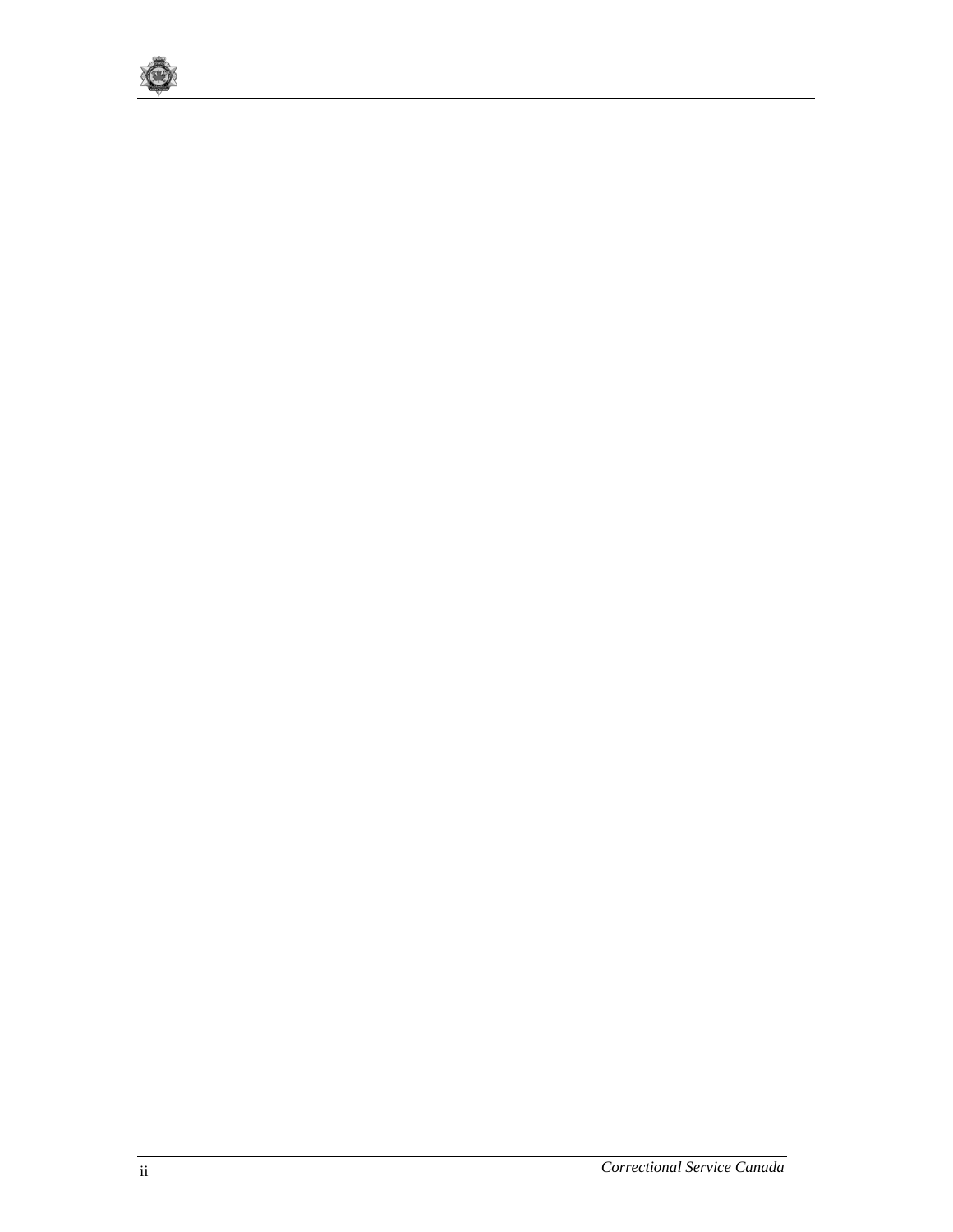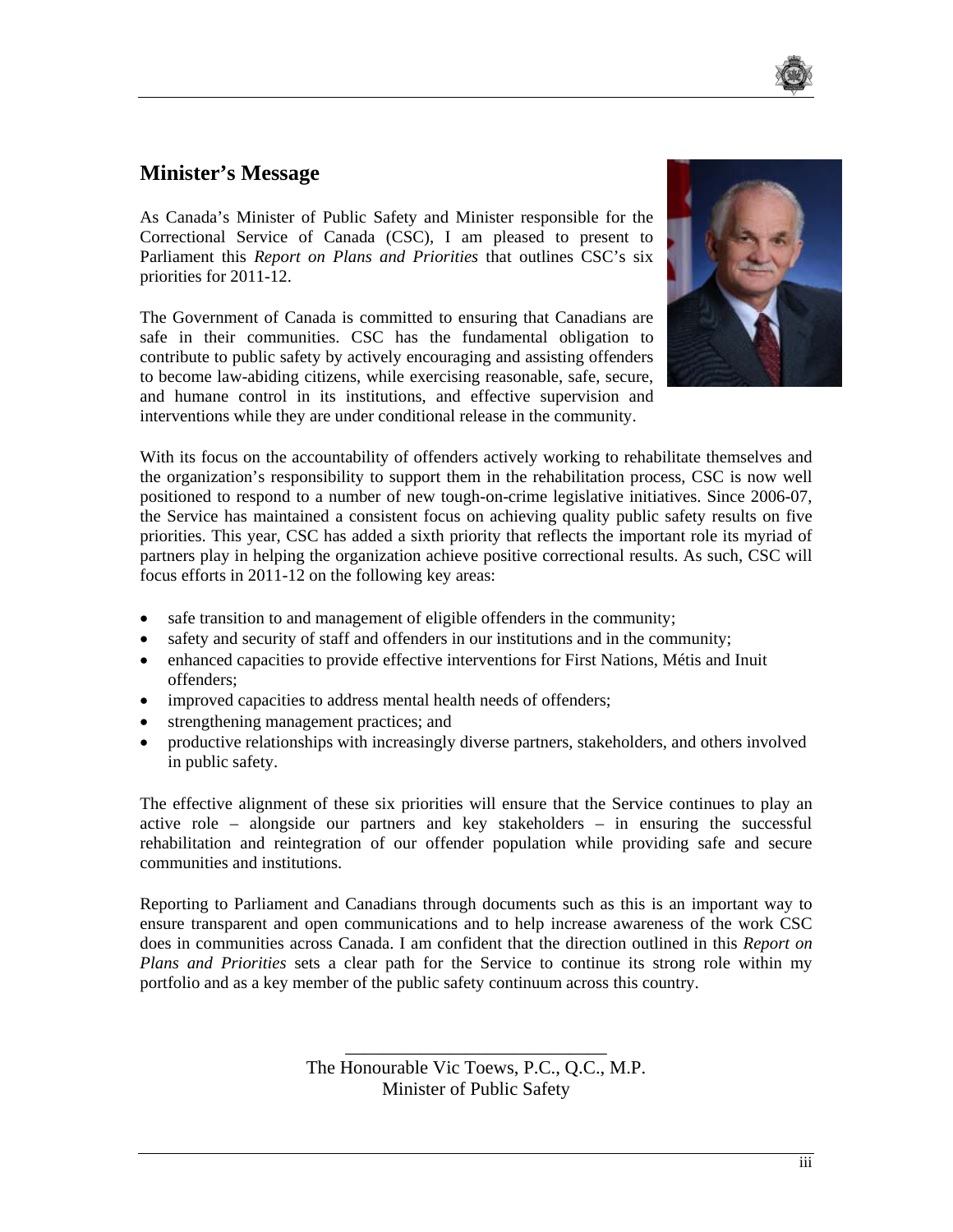

## **Minister's Message**

As Canada's Minister of Public Safety and Minister responsible for the Correctional Service of Canada (CSC), I am pleased to present to Parliament this *Report on Plans and Priorities* that outlines CSC's six priorities for 2011-12.

The Government of Canada is committed to ensuring that Canadians are safe in their communities. CSC has the fundamental obligation to contribute to public safety by actively encouraging and assisting offenders to become law-abiding citizens, while exercising reasonable, safe, secure, and humane control in its institutions, and effective supervision and interventions while they are under conditional release in the community.



With its focus on the accountability of offenders actively working to rehabilitate themselves and the organization's responsibility to support them in the rehabilitation process, CSC is now well positioned to respond to a number of new tough-on-crime legislative initiatives. Since 2006-07, the Service has maintained a consistent focus on achieving quality public safety results on five priorities. This year, CSC has added a sixth priority that reflects the important role its myriad of partners play in helping the organization achieve positive correctional results. As such, CSC will focus efforts in 2011-12 on the following key areas:

- safe transition to and management of eligible offenders in the community;
- safety and security of staff and offenders in our institutions and in the community;
- enhanced capacities to provide effective interventions for First Nations, Métis and Inuit offenders;
- improved capacities to address mental health needs of offenders;
- strengthening management practices; and
- productive relationships with increasingly diverse partners, stakeholders, and others involved in public safety.

The effective alignment of these six priorities will ensure that the Service continues to play an active role – alongside our partners and key stakeholders – in ensuring the successful rehabilitation and reintegration of our offender population while providing safe and secure communities and institutions.

Reporting to Parliament and Canadians through documents such as this is an important way to ensure transparent and open communications and to help increase awareness of the work CSC does in communities across Canada. I am confident that the direction outlined in this *Report on Plans and Priorities* sets a clear path for the Service to continue its strong role within my portfolio and as a key member of the public safety continuum across this country.

> \_\_\_\_\_\_\_\_\_\_\_\_\_\_\_\_\_\_\_\_\_\_\_\_\_\_\_\_ The Honourable Vic Toews, P.C., Q.C., M.P. Minister of Public Safety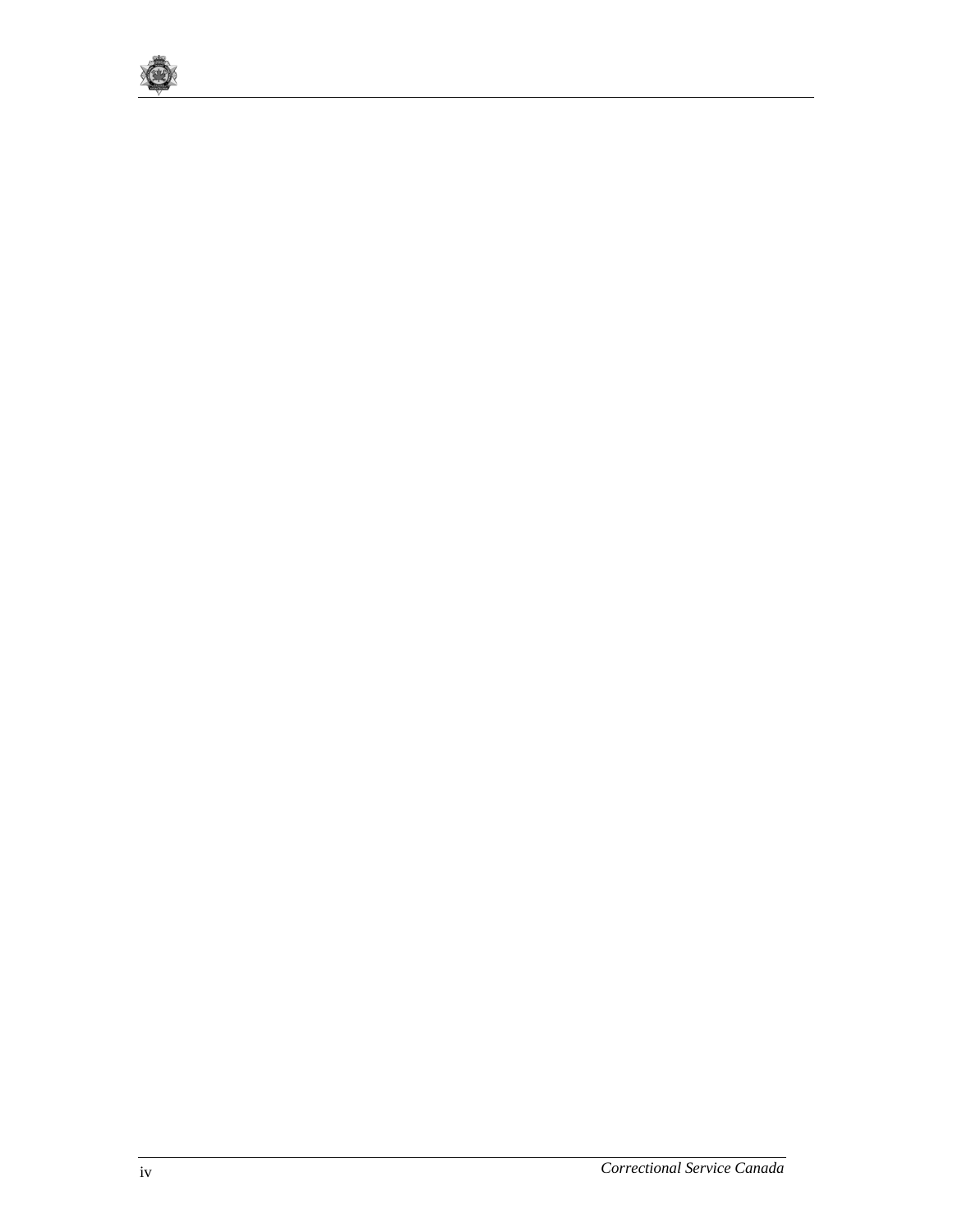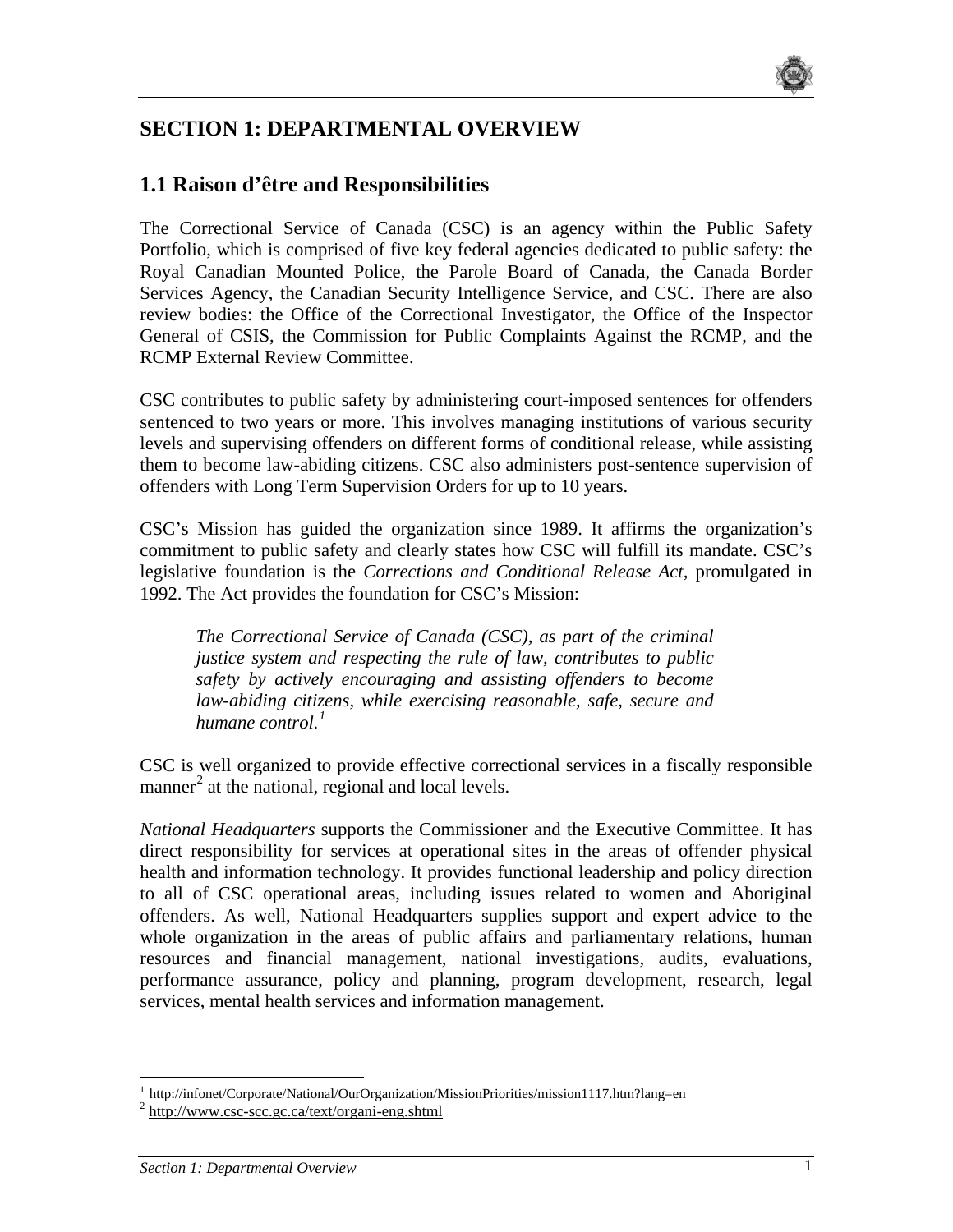

# <span id="page-6-0"></span>**SECTION 1: DEPARTMENTAL OVERVIEW**

#### <span id="page-6-1"></span>**1.1 Raison d'être and Responsibilities**

The Correctional Service of Canada (CSC) is an agency within the Public Safety Portfolio, which is comprised of five key federal agencies dedicated to public safety: the Royal Canadian Mounted Police, the Parole Board of Canada, the Canada Border Services Agency, the Canadian Security Intelligence Service, and CSC. There are also review bodies: the Office of the Correctional Investigator, the Office of the Inspector General of CSIS, the Commission for Public Complaints Against the RCMP, and the RCMP External Review Committee.

CSC contributes to public safety by administering court-imposed sentences for offenders sentenced to two years or more. This involves managing institutions of various security levels and supervising offenders on different forms of conditional release, while assisting them to become law-abiding citizens. CSC also administers post-sentence supervision of offenders with Long Term Supervision Orders for up to 10 years.

CSC's Mission has guided the organization since 1989. It affirms the organization's commitment to public safety and clearly states how CSC will fulfill its mandate. CSC's legislative foundation is the *Corrections and Conditional Release Act,* promulgated in 1992. The Act provides the foundation for CSC's Mission:

*The Correctional Service of Canada (CSC), as part of the criminal justice system and respecting the rule of law, contributes to public safety by actively encouraging and assisting offenders to become law-abiding citizens, while exercising reasonable, safe, secure and humane control.[1](#page-6-2)*

CSC is well organized to provide effective correctional services in a fiscally responsible manner<sup>[2](#page-6-3)</sup> at the national, regional and local levels.

*National Headquarters* supports the Commissioner and the Executive Committee. It has direct responsibility for services at operational sites in the areas of offender physical health and information technology. It provides functional leadership and policy direction to all of CSC operational areas, including issues related to women and Aboriginal offenders. As well, National Headquarters supplies support and expert advice to the whole organization in the areas of public affairs and parliamentary relations, human resources and financial management, national investigations, audits, evaluations, performance assurance, policy and planning, program development, research, legal services, mental health services and information management.

<span id="page-6-2"></span> <sup>1</sup> <http://infonet/Corporate/National/OurOrganization/MissionPriorities/mission1117.htm?lang=en>

<span id="page-6-3"></span><sup>2</sup> <http://www.csc-scc.gc.ca/text/organi-eng.shtml>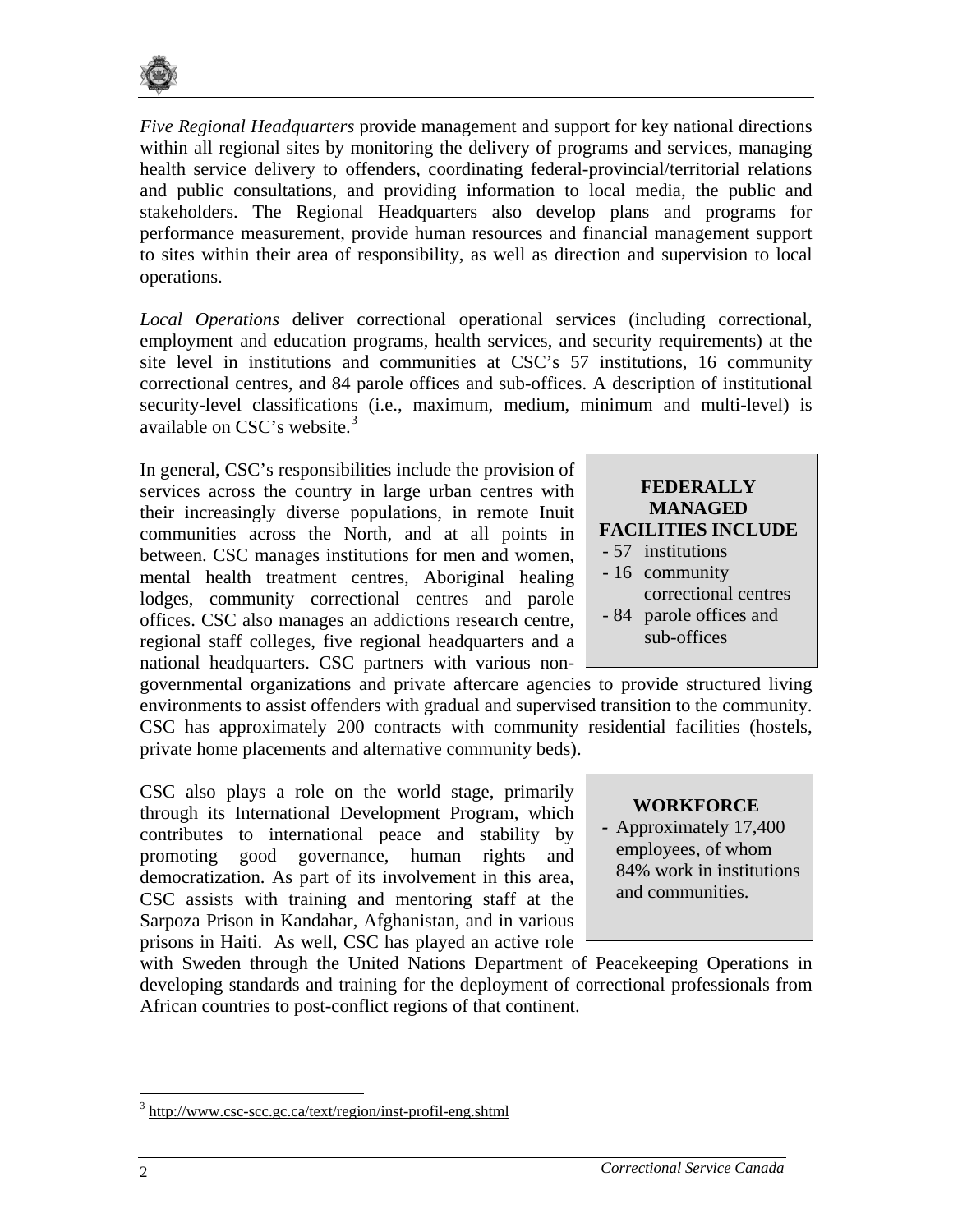

*Five Regional Headquarters* provide management and support for key national directions within all regional sites by monitoring the delivery of programs and services, managing health service delivery to offenders, coordinating federal-provincial/territorial relations and public consultations, and providing information to local media, the public and stakeholders. The Regional Headquarters also develop plans and programs for performance measurement, provide human resources and financial management support to sites within their area of responsibility, as well as direction and supervision to local operations.

*Local Operations* deliver correctional operational services (including correctional, employment and education programs, health services, and security requirements) at the site level in institutions and communities at CSC's 57 institutions, 16 community correctional centres, and 84 parole offices and sub-offices. A description of institutional security-level classifications (i.e., maximum, medium, minimum and multi-level) is available on CSC's website.<sup>[3](#page-7-0)</sup>

In general, CSC's responsibilities include the provision of services across the country in large urban centres with their increasingly diverse populations, in remote Inuit communities across the North, and at all points in between. CSC manages institutions for men and women, mental health treatment centres, Aboriginal healing lodges, community correctional centres and parole offices. CSC also manages an addictions research centre, regional staff colleges, five regional headquarters and a national headquarters. CSC partners with various non-

governmental organizations and private aftercare agencies to provide structured living environments to assist offenders with gradual and supervised transition to the community. CSC has approximately 200 contracts with community residential facilities (hostels, private home placements and alternative community beds).

CSC also plays a role on the world stage, primarily through its International Development Program, which contributes to international peace and stability by promoting good governance, human rights and democratization. As part of its involvement in this area, CSC assists with training and mentoring staff at the Sarpoza Prison in Kandahar, Afghanistan, and in various prisons in Haiti. As well, CSC has played an active role

#### **FEDERALLY MANAGED FACILITIES INCLUDE** - 57 institutions

- 16 community correctional centres - 84 parole offices and sub-offices

#### **WORKFORCE**

*-* Approximately 17,400 employees, of whom 84% work in institutions and communities.

with Sweden through the United Nations Department of Peacekeeping Operations in developing standards and training for the deployment of correctional professionals from African countries to post-conflict regions of that continent.

<span id="page-7-0"></span> <sup>3</sup> <http://www.csc-scc.gc.ca/text/region/inst-profil-eng.shtml>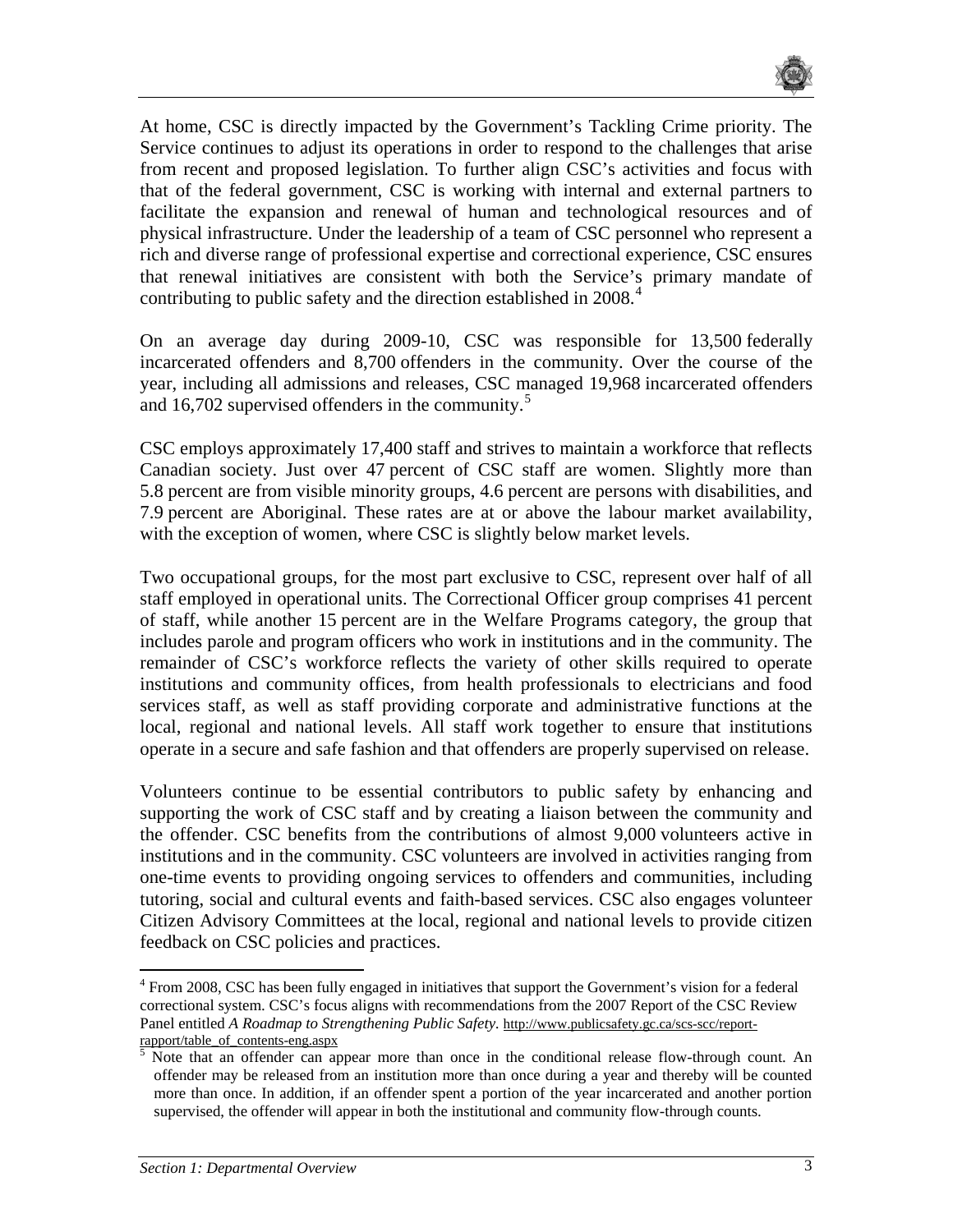

At home, CSC is directly impacted by the Government's Tackling Crime priority. The Service continues to adjust its operations in order to respond to the challenges that arise from recent and proposed legislation. To further align CSC's activities and focus with that of the federal government, CSC is working with internal and external partners to facilitate the expansion and renewal of human and technological resources and of physical infrastructure. Under the leadership of a team of CSC personnel who represent a rich and diverse range of professional expertise and correctional experience, CSC ensures that renewal initiatives are consistent with both the Service's primary mandate of contributing to public safety and the direction established in 2008. [4](#page-8-0)

On an average day during 2009-10, CSC was responsible for 13,500 federally incarcerated offenders and 8,700 offenders in the community. Over the course of the year, including all admissions and releases, CSC managed 19,968 incarcerated offenders and 16,702 supervised offenders in the community.<sup>[5](#page-8-1)</sup>

CSC employs approximately 17,400 staff and strives to maintain a workforce that reflects Canadian society. Just over 47 percent of CSC staff are women. Slightly more than 5.8 percent are from visible minority groups, 4.6 percent are persons with disabilities, and 7.9 percent are Aboriginal. These rates are at or above the labour market availability, with the exception of women, where CSC is slightly below market levels.

Two occupational groups, for the most part exclusive to CSC, represent over half of all staff employed in operational units. The Correctional Officer group comprises 41 percent of staff, while another 15 percent are in the Welfare Programs category, the group that includes parole and program officers who work in institutions and in the community. The remainder of CSC's workforce reflects the variety of other skills required to operate institutions and community offices, from health professionals to electricians and food services staff, as well as staff providing corporate and administrative functions at the local, regional and national levels. All staff work together to ensure that institutions operate in a secure and safe fashion and that offenders are properly supervised on release.

Volunteers continue to be essential contributors to public safety by enhancing and supporting the work of CSC staff and by creating a liaison between the community and the offender. CSC benefits from the contributions of almost 9,000 volunteers active in institutions and in the community. CSC volunteers are involved in activities ranging from one-time events to providing ongoing services to offenders and communities, including tutoring, social and cultural events and faith-based services. CSC also engages volunteer Citizen Advisory Committees at the local, regional and national levels to provide citizen feedback on CSC policies and practices.

<span id="page-8-0"></span><sup>&</sup>lt;sup>4</sup> From 2008, CSC has been fully engaged in initiatives that support the Government's vision for a federal correctional system. CSC's focus aligns with recommendations from the 2007 Report of the CSC Review Panel entitled *A Roadmap to Strengthening Public Safety*. <u>http://www.publicsafety.gc.ca/scs-scc/report-rapport/table of contents-eng.aspx</u>

<span id="page-8-1"></span>Note that an offender can appear more than once in the conditional release flow-through count. An offender may be released from an institution more than once during a year and thereby will be counted more than once. In addition, if an offender spent a portion of the year incarcerated and another portion supervised, the offender will appear in both the institutional and community flow-through counts.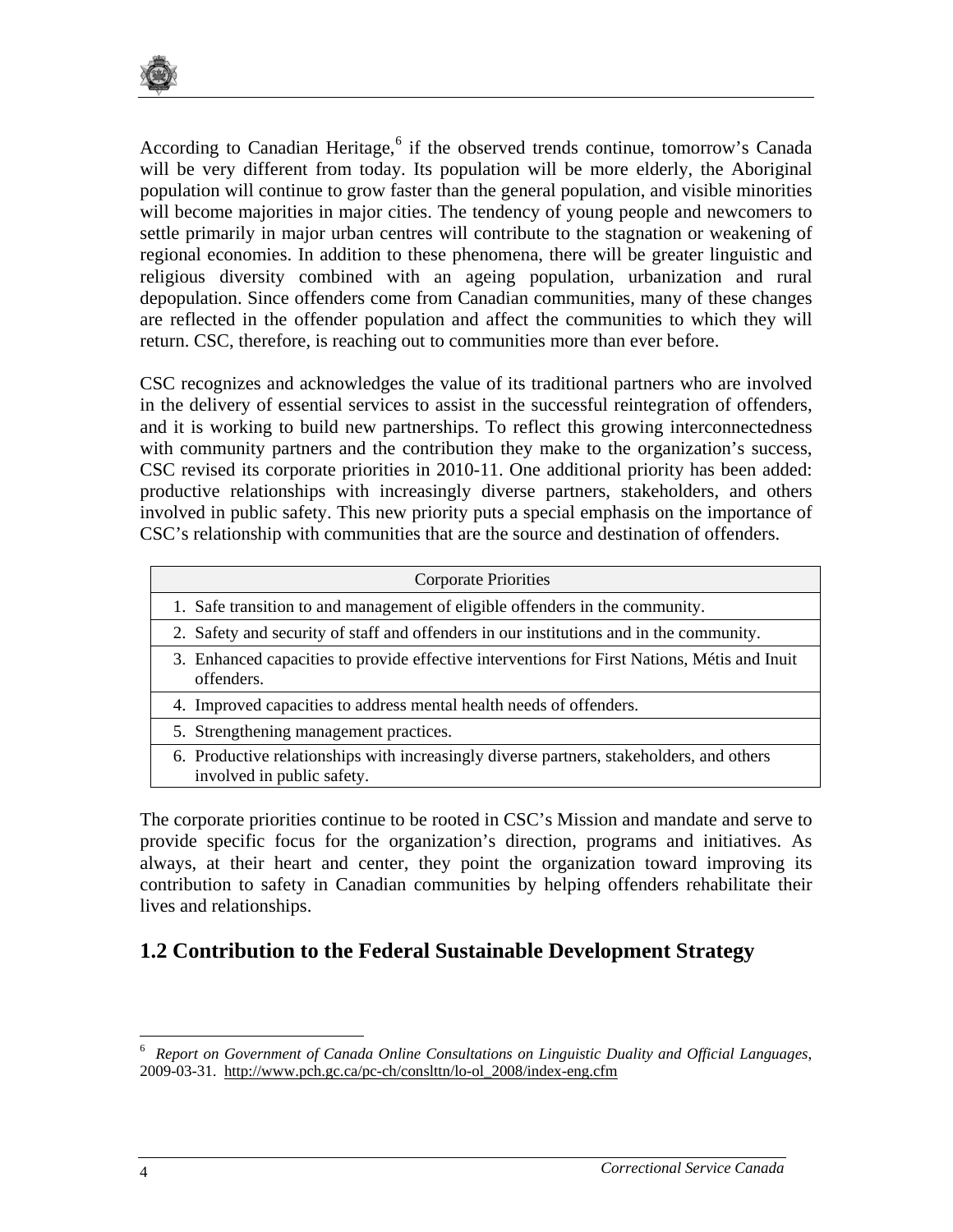

According to Canadian Heritage,<sup>[6](#page-9-1)</sup> if the observed trends continue, tomorrow's Canada will be very different from today. Its population will be more elderly, the Aboriginal population will continue to grow faster than the general population, and visible minorities will become majorities in major cities. The tendency of young people and newcomers to settle primarily in major urban centres will contribute to the stagnation or weakening of regional economies. In addition to these phenomena, there will be greater linguistic and religious diversity combined with an ageing population, urbanization and rural depopulation. Since offenders come from Canadian communities, many of these changes are reflected in the offender population and affect the communities to which they will return. CSC, therefore, is reaching out to communities more than ever before.

CSC recognizes and acknowledges the value of its traditional partners who are involved in the delivery of essential services to assist in the successful reintegration of offenders, and it is working to build new partnerships. To reflect this growing interconnectedness with community partners and the contribution they make to the organization's success, CSC revised its corporate priorities in 2010-11. One additional priority has been added: productive relationships with increasingly diverse partners, stakeholders, and others involved in public safety. This new priority puts a special emphasis on the importance of CSC's relationship with communities that are the source and destination of offenders.

The corporate priorities continue to be rooted in CSC's Mission and mandate and serve to provide specific focus for the organization's direction, programs and initiatives. As always, at their heart and center, they point the organization toward improving its contribution to safety in Canadian communities by helping offenders rehabilitate their lives and relationships.

# <span id="page-9-0"></span>**1.2 Contribution to the Federal Sustainable Development Strategy**

<span id="page-9-1"></span> <sup>6</sup> *Report on Government of Canada Online Consultations on Linguistic Duality and Official Languages*, 2009-03-31. http://www.pch.gc.ca/pc-ch/conslttn/lo-ol\_2008/index-eng.cfm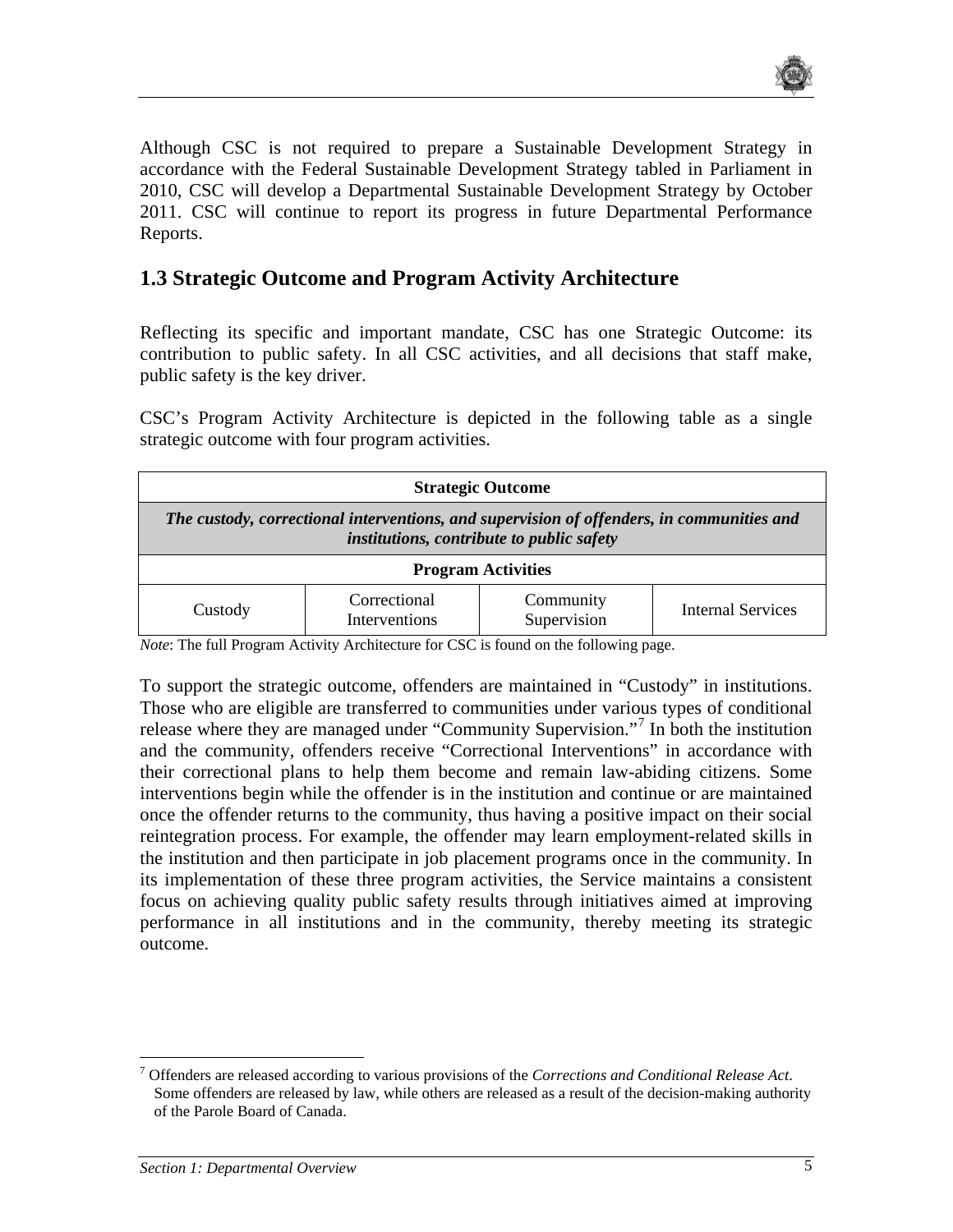

Although CSC is not required to prepare a Sustainable Development Strategy in accordance with the Federal Sustainable Development Strategy tabled in Parliament in 2010, CSC will develop a Departmental Sustainable Development Strategy by October 2011. CSC will continue to report its progress in future Departmental Performance Reports.

## <span id="page-10-0"></span>**1.3 Strategic Outcome and Program Activity Architecture**

Reflecting its specific and important mandate, CSC has one Strategic Outcome: its contribution to public safety. In all CSC activities, and all decisions that staff make, public safety is the key driver.

CSC's Program Activity Architecture is depicted in the following table as a single strategic outcome with four program activities.

| <b>Strategic Outcome</b>                                                                                                                      |                               |                          |                   |
|-----------------------------------------------------------------------------------------------------------------------------------------------|-------------------------------|--------------------------|-------------------|
| The custody, correctional interventions, and supervision of offenders, in communities and<br><i>institutions, contribute to public safety</i> |                               |                          |                   |
| <b>Program Activities</b>                                                                                                                     |                               |                          |                   |
| Custody                                                                                                                                       | Correctional<br>Interventions | Community<br>Supervision | Internal Services |

*Note*: The full Program Activity Architecture for CSC is found on the following page.

To support the strategic outcome, offenders are maintained in "Custody" in institutions. Those who are eligible are transferred to communities under various types of conditional release where they are managed under "Community Supervision."<sup>[7](#page-10-1)</sup> In both the institution and the community, offenders receive "Correctional Interventions" in accordance with their correctional plans to help them become and remain law-abiding citizens. Some interventions begin while the offender is in the institution and continue or are maintained once the offender returns to the community, thus having a positive impact on their social reintegration process. For example, the offender may learn employment-related skills in the institution and then participate in job placement programs once in the community. In its implementation of these three program activities, the Service maintains a consistent focus on achieving quality public safety results through initiatives aimed at improving performance in all institutions and in the community, thereby meeting its strategic outcome.

<span id="page-10-1"></span> <sup>7</sup> Offenders are released according to various provisions of the *Corrections and Conditional Release Act*. Some offenders are released by law, while others are released as a result of the decision-making authority of the Parole Board of Canada.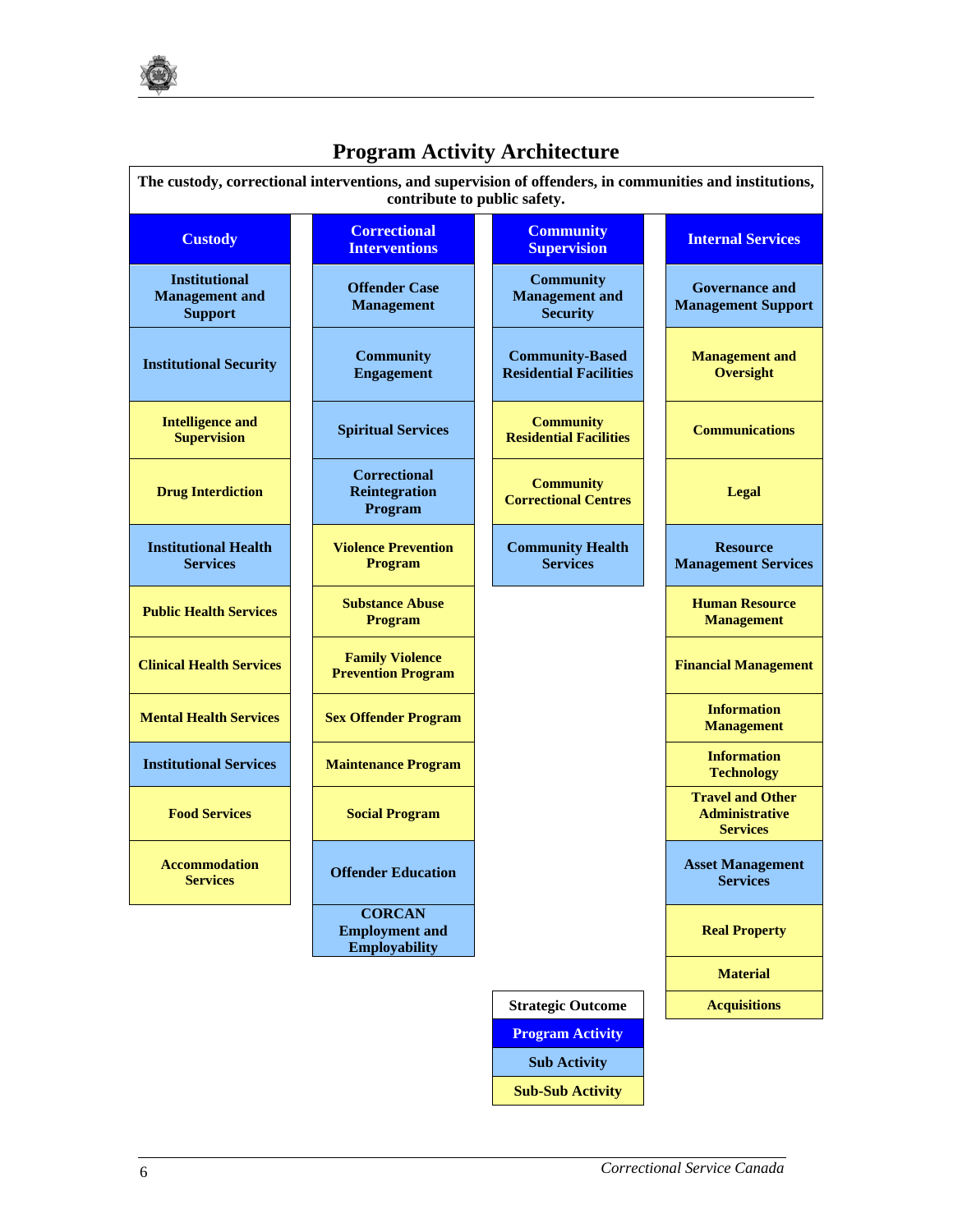

| The custody, correctional interventions, and supervision of offenders, in communities and institutions,<br>contribute to public safety. |                                                                |                                                              |                                                                     |  |
|-----------------------------------------------------------------------------------------------------------------------------------------|----------------------------------------------------------------|--------------------------------------------------------------|---------------------------------------------------------------------|--|
| <b>Custody</b>                                                                                                                          | <b>Correctional</b><br><b>Interventions</b>                    | <b>Community</b><br><b>Supervision</b>                       | <b>Internal Services</b>                                            |  |
| <b>Institutional</b><br><b>Management</b> and<br><b>Support</b>                                                                         | <b>Offender Case</b><br><b>Management</b>                      | <b>Community</b><br><b>Management</b> and<br><b>Security</b> | <b>Governance and</b><br><b>Management Support</b>                  |  |
| <b>Institutional Security</b>                                                                                                           | <b>Community</b><br><b>Engagement</b>                          | <b>Community-Based</b><br><b>Residential Facilities</b>      | <b>Management</b> and<br><b>Oversight</b>                           |  |
| <b>Intelligence and</b><br><b>Supervision</b>                                                                                           | <b>Spiritual Services</b>                                      | <b>Community</b><br><b>Residential Facilities</b>            | <b>Communications</b>                                               |  |
| <b>Drug Interdiction</b>                                                                                                                | <b>Correctional</b><br><b>Reintegration</b><br>Program         | <b>Community</b><br><b>Correctional Centres</b>              | Legal                                                               |  |
| <b>Institutional Health</b><br><b>Services</b>                                                                                          | <b>Violence Prevention</b><br><b>Program</b>                   | <b>Community Health</b><br><b>Services</b>                   |                                                                     |  |
| <b>Public Health Services</b>                                                                                                           | <b>Substance Abuse</b><br><b>Program</b>                       |                                                              | <b>Human Resource</b><br><b>Management</b>                          |  |
| <b>Clinical Health Services</b>                                                                                                         | <b>Family Violence</b><br><b>Prevention Program</b>            |                                                              | <b>Financial Management</b>                                         |  |
| <b>Mental Health Services</b>                                                                                                           | <b>Sex Offender Program</b>                                    |                                                              | <b>Information</b><br><b>Management</b>                             |  |
| <b>Institutional Services</b>                                                                                                           | <b>Maintenance Program</b>                                     |                                                              | <b>Information</b><br><b>Technology</b>                             |  |
| <b>Food Services</b>                                                                                                                    | <b>Social Program</b>                                          |                                                              | <b>Travel and Other</b><br><b>Administrative</b><br><b>Services</b> |  |
| <b>Accommodation</b><br><b>Services</b>                                                                                                 | <b>Offender Education</b>                                      |                                                              | <b>Asset Management</b><br><b>Services</b>                          |  |
|                                                                                                                                         | <b>CORCAN</b><br><b>Employment and</b><br><b>Employability</b> |                                                              | <b>Real Property</b>                                                |  |
|                                                                                                                                         |                                                                |                                                              | <b>Material</b>                                                     |  |
|                                                                                                                                         |                                                                | <b>Strategic Outcome</b>                                     | <b>Acquisitions</b>                                                 |  |
|                                                                                                                                         |                                                                | <b>Program Activity</b>                                      |                                                                     |  |
|                                                                                                                                         |                                                                | <b>Sub Activity</b>                                          |                                                                     |  |
|                                                                                                                                         |                                                                | <b>Sub-Sub Activity</b>                                      |                                                                     |  |

# **Program Activity Architecture**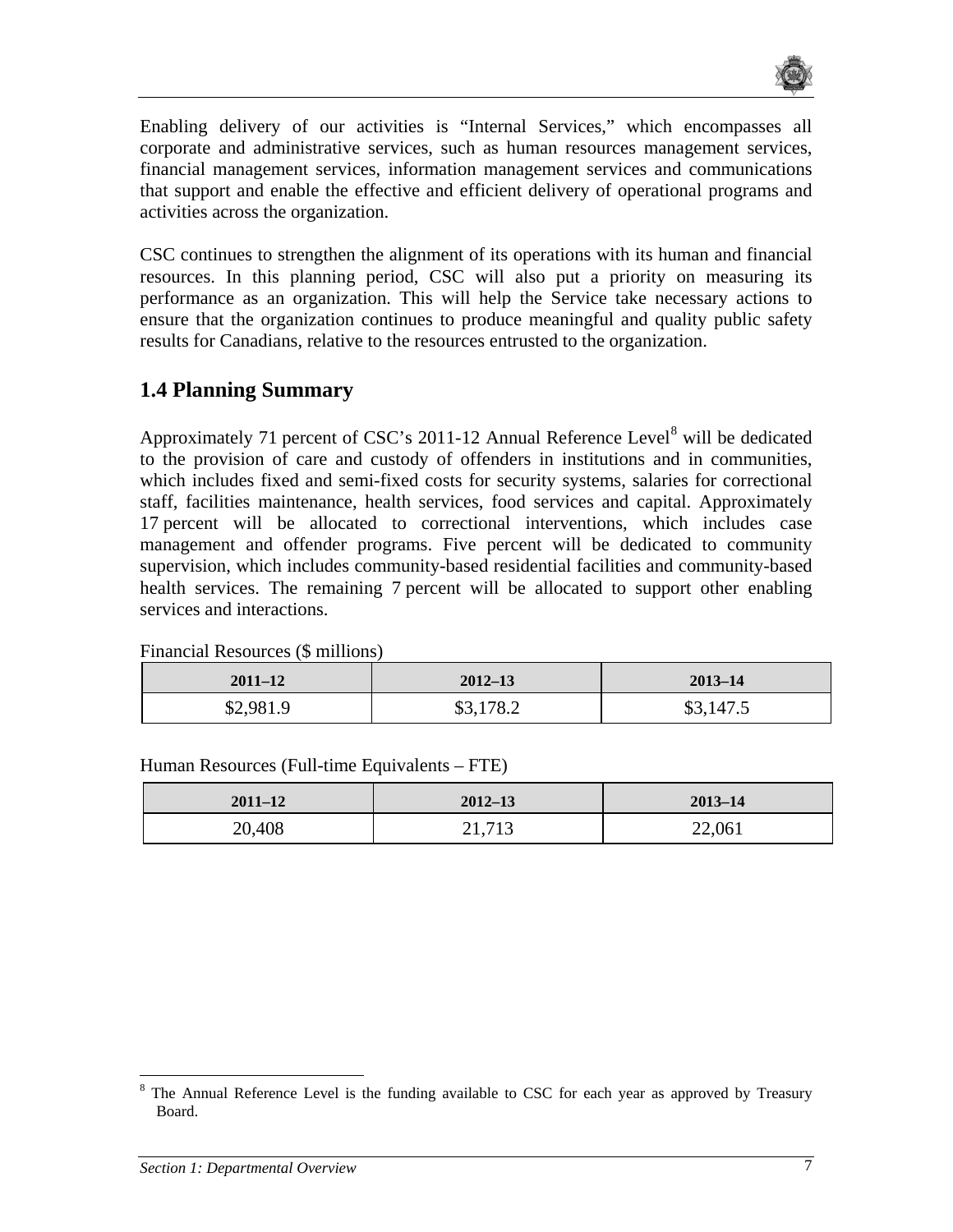

Enabling delivery of our activities is "Internal Services," which encompasses all corporate and administrative services, such as human resources management services, financial management services, information management services and communications that support and enable the effective and efficient delivery of operational programs and activities across the organization.

CSC continues to strengthen the alignment of its operations with its human and financial resources. In this planning period, CSC will also put a priority on measuring its performance as an organization. This will help the Service take necessary actions to ensure that the organization continues to produce meaningful and quality public safety results for Canadians, relative to the resources entrusted to the organization.

#### <span id="page-12-0"></span>**1.4 Planning Summary**

Approximately 71 percent of CSC's 2011-12 Annual Reference Level<sup>[8](#page-12-1)</sup> will be dedicated to the provision of care and custody of offenders in institutions and in communities, which includes fixed and semi-fixed costs for security systems, salaries for correctional staff, facilities maintenance, health services, food services and capital. Approximately 17 percent will be allocated to correctional interventions, which includes case management and offender programs. Five percent will be dedicated to community supervision, which includes community-based residential facilities and community-based health services. The remaining 7 percent will be allocated to support other enabling services and interactions.

| $\ldots$<br>$2011 - 12$ | $2012 - 13$ | $2013 - 14$ |
|-------------------------|-------------|-------------|
| \$2,981.9               | \$3,178.2   | \$3,147.5   |

Financial Resources (\$ millions)

| $2011 - 12$ | $2012 - 13$ | $2013 - 14$ |
|-------------|-------------|-------------|
| 20,408      | 21,713      | 22,061      |

Human Resources (Full-time Equivalents – FTE)

<span id="page-12-1"></span><sup>&</sup>lt;sup>8</sup> The Annual Reference Level is the funding available to CSC for each year as approved by Treasury Board.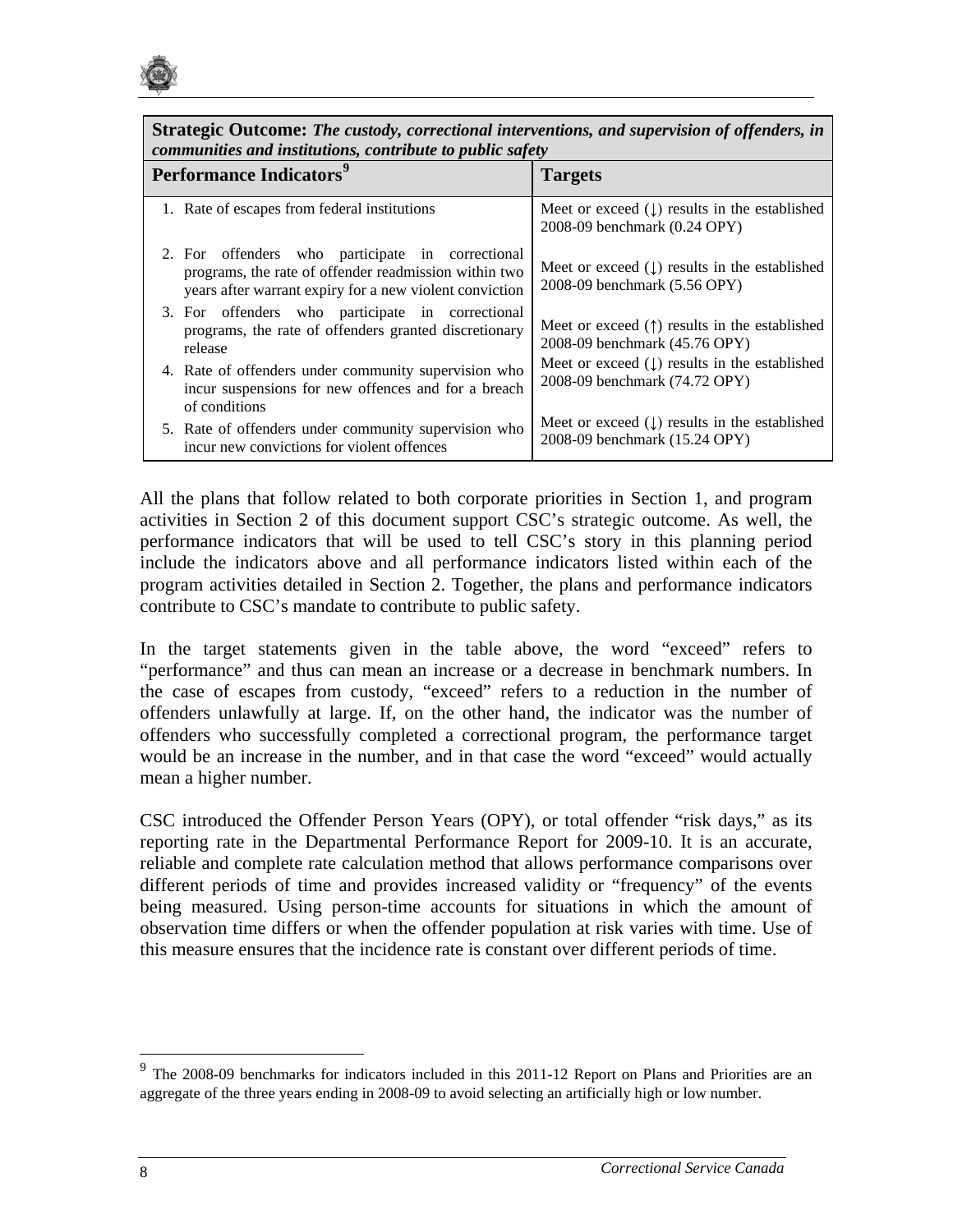

**Strategic Outcome:** *The custody, correctional interventions, and supervision of offenders, in communities and institutions, contribute to public safety*

| <b>Performance Indicators<sup>9</sup></b>                                                                                                                            | <b>Targets</b>                                                                           |
|----------------------------------------------------------------------------------------------------------------------------------------------------------------------|------------------------------------------------------------------------------------------|
| 1. Rate of escapes from federal institutions                                                                                                                         | Meet or exceed $(\downarrow)$ results in the established<br>2008-09 benchmark (0.24 OPY) |
| 2. For offenders who participate in correctional<br>programs, the rate of offender readmission within two<br>years after warrant expiry for a new violent conviction | Meet or exceed $(1)$ results in the established<br>2008-09 benchmark (5.56 OPY)          |
| 3. For offenders who participate in correctional<br>programs, the rate of offenders granted discretionary<br>release                                                 | Meet or exceed $(\uparrow)$ results in the established<br>2008-09 benchmark (45.76 OPY)  |
| 4. Rate of offenders under community supervision who<br>incur suspensions for new offences and for a breach<br>of conditions                                         | Meet or exceed $(1)$ results in the established<br>2008-09 benchmark (74.72 OPY)         |
| 5. Rate of offenders under community supervision who<br>incur new convictions for violent offences                                                                   | Meet or exceed $(1)$ results in the established<br>2008-09 benchmark (15.24 OPY)         |

All the plans that follow related to both corporate priorities in Section 1, and program activities in Section 2 of this document support CSC's strategic outcome. As well, the performance indicators that will be used to tell CSC's story in this planning period include the indicators above and all performance indicators listed within each of the program activities detailed in Section 2. Together, the plans and performance indicators contribute to CSC's mandate to contribute to public safety.

In the target statements given in the table above, the word "exceed" refers to "performance" and thus can mean an increase or a decrease in benchmark numbers. In the case of escapes from custody, "exceed" refers to a reduction in the number of offenders unlawfully at large. If, on the other hand, the indicator was the number of offenders who successfully completed a correctional program, the performance target would be an increase in the number, and in that case the word "exceed" would actually mean a higher number.

CSC introduced the Offender Person Years (OPY), or total offender "risk days," as its reporting rate in the Departmental Performance Report for 2009-10. It is an accurate, reliable and complete rate calculation method that allows performance comparisons over different periods of time and provides increased validity or "frequency" of the events being measured. Using person-time accounts for situations in which the amount of observation time differs or when the offender population at risk varies with time. Use of this measure ensures that the incidence rate is constant over different periods of time.

<span id="page-13-0"></span><sup>&</sup>lt;sup>9</sup> The 2008-09 benchmarks for indicators included in this 2011-12 Report on Plans and Priorities are an aggregate of the three years ending in 2008-09 to avoid selecting an artificially high or low number.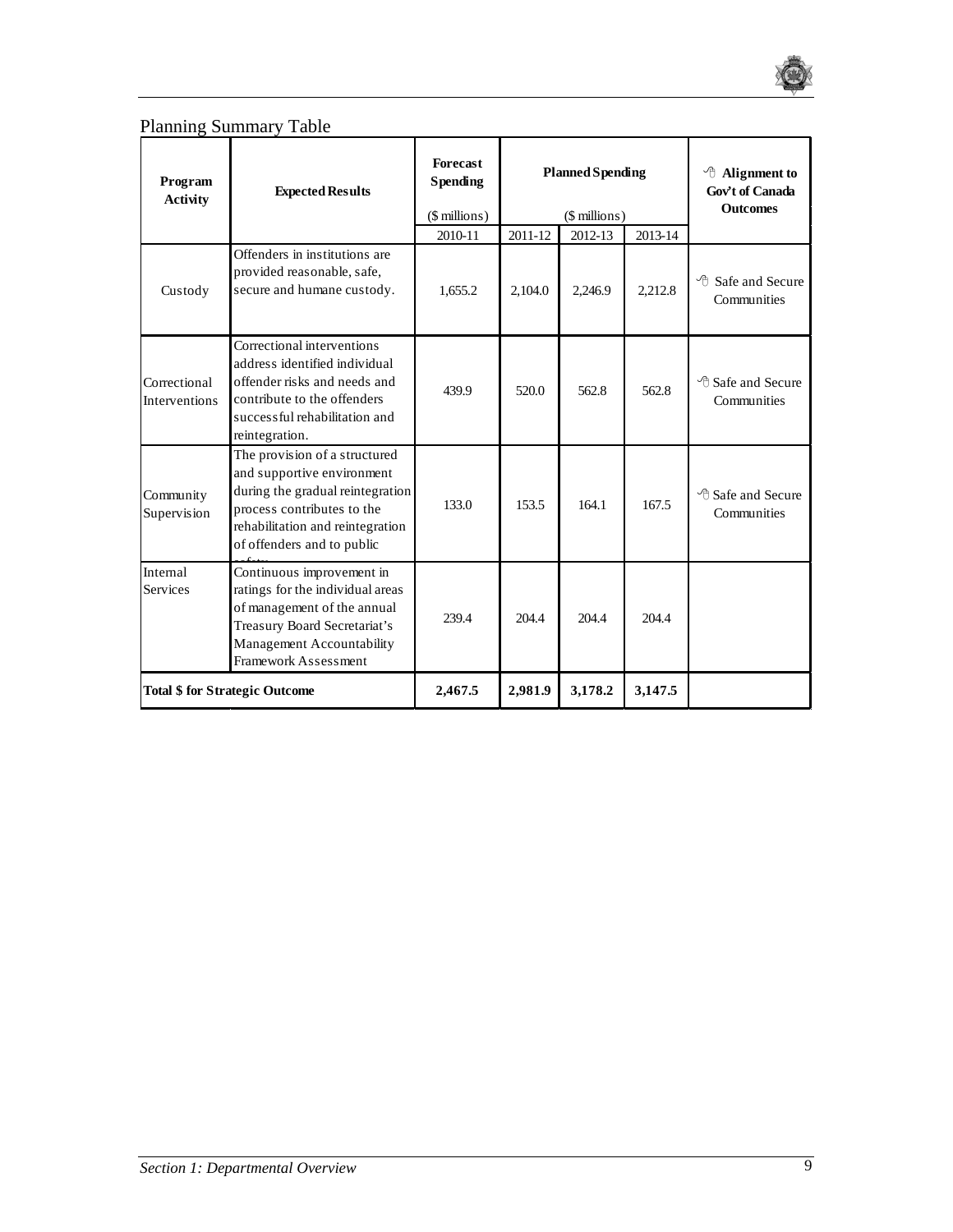

#### Planning Summary Table

| Program<br><b>Activity</b>            | <b>Expected Results</b>                                                                                                                                                                         | <b>Forecast</b><br><b>Spending</b><br>(\$ millions) |         | <b>Planned Spending</b><br>(\$ millions) |         | $\Diamond$ Alignment to<br>Gov't of Canada<br><b>Outcomes</b> |
|---------------------------------------|-------------------------------------------------------------------------------------------------------------------------------------------------------------------------------------------------|-----------------------------------------------------|---------|------------------------------------------|---------|---------------------------------------------------------------|
|                                       | Offenders in institutions are                                                                                                                                                                   | 2010-11                                             | 2011-12 | 2012-13                                  | 2013-14 |                                                               |
| Custody                               | provided reasonable, safe,<br>secure and humane custody.                                                                                                                                        | 1.655.2                                             | 2.104.0 | 2,246.9                                  | 2,212.8 | <sup>t</sup> Safe and Secure<br>Communities                   |
| Correctional<br><b>Interventions</b>  | Correctional interventions<br>address identified individual<br>offender risks and needs and<br>contribute to the offenders<br>successful rehabilitation and<br>reintegration.                   | 439.9                                               | 520.0   | 562.8                                    | 562.8   | <sup>-</sup> <i>A</i> Safe and Secure<br>Communities          |
| Community<br>Supervision              | The provision of a structured<br>and supportive environment<br>during the gradual reintegration<br>process contributes to the<br>rehabilitation and reintegration<br>of offenders and to public | 133.0                                               | 153.5   | 164.1                                    | 167.5   | <sup>-</sup> <i>A</i> Safe and Secure<br>Communities          |
| Internal<br><b>Services</b>           | Continuous improvement in<br>ratings for the individual areas<br>of management of the annual<br>Treasury Board Secretariat's<br>Management Accountability<br>Framework Assessment               | 239.4                                               | 204.4   | 204.4                                    | 204.4   |                                                               |
| <b>Total \$ for Strategic Outcome</b> |                                                                                                                                                                                                 | 2,467.5                                             | 2,981.9 | 3,178.2                                  | 3,147.5 |                                                               |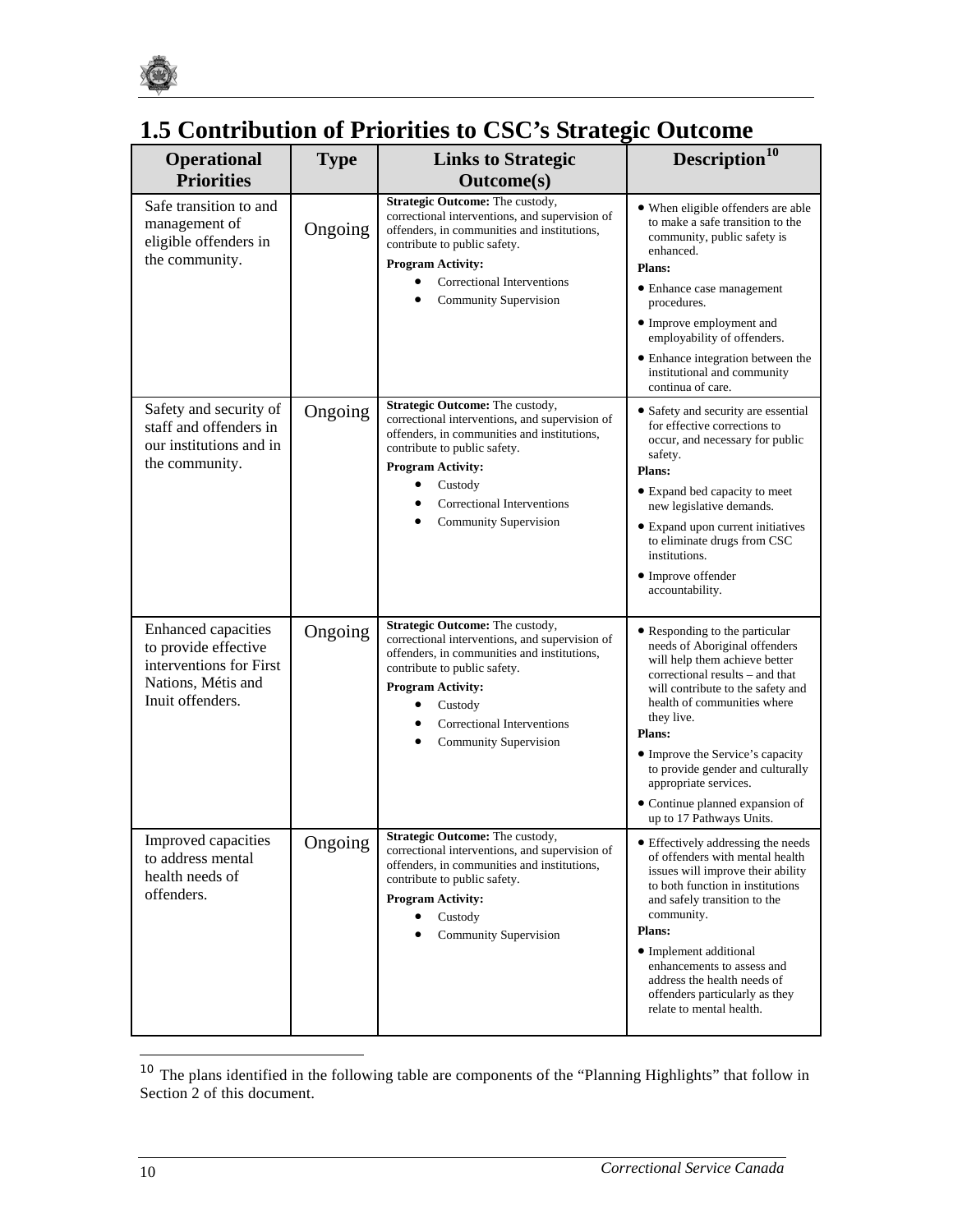

# **1.5 Contribution of Priorities to CSC's Strategic Outcome**

| <b>Operational</b><br><b>Priorities</b>                                                                          | <b>Type</b> | <b>Links to Strategic</b><br><b>Outcome(s)</b>                                                                                                                                                                                                                                                  | Description <sup>10</sup>                                                                                                                                                                                                                                                                                                                                                                              |
|------------------------------------------------------------------------------------------------------------------|-------------|-------------------------------------------------------------------------------------------------------------------------------------------------------------------------------------------------------------------------------------------------------------------------------------------------|--------------------------------------------------------------------------------------------------------------------------------------------------------------------------------------------------------------------------------------------------------------------------------------------------------------------------------------------------------------------------------------------------------|
| Safe transition to and<br>management of<br>eligible offenders in<br>the community.                               | Ongoing     | Strategic Outcome: The custody,<br>correctional interventions, and supervision of<br>offenders, in communities and institutions,<br>contribute to public safety.<br><b>Program Activity:</b><br>Correctional Interventions<br>$\bullet$<br>$\bullet$<br><b>Community Supervision</b>            | • When eligible offenders are able<br>to make a safe transition to the<br>community, public safety is<br>enhanced.<br><b>Plans:</b><br>• Enhance case management<br>procedures.<br>• Improve employment and<br>employability of offenders.<br>• Enhance integration between the<br>institutional and community<br>continua of care.                                                                    |
| Safety and security of<br>staff and offenders in<br>our institutions and in<br>the community.                    | Ongoing     | Strategic Outcome: The custody,<br>correctional interventions, and supervision of<br>offenders, in communities and institutions,<br>contribute to public safety.<br><b>Program Activity:</b><br>Custody<br>$\bullet$<br>Correctional Interventions<br><b>Community Supervision</b><br>$\bullet$ | • Safety and security are essential<br>for effective corrections to<br>occur, and necessary for public<br>safety.<br>Plans:<br>• Expand bed capacity to meet<br>new legislative demands.<br>• Expand upon current initiatives<br>to eliminate drugs from CSC<br>institutions.<br>• Improve offender<br>accountability.                                                                                 |
| Enhanced capacities<br>to provide effective<br>interventions for First<br>Nations, Métis and<br>Inuit offenders. | Ongoing     | Strategic Outcome: The custody,<br>correctional interventions, and supervision of<br>offenders, in communities and institutions,<br>contribute to public safety.<br><b>Program Activity:</b><br>Custody<br>Correctional Interventions<br><b>Community Supervision</b>                           | • Responding to the particular<br>needs of Aboriginal offenders<br>will help them achieve better<br>correctional results - and that<br>will contribute to the safety and<br>health of communities where<br>they live.<br><b>Plans:</b><br>• Improve the Service's capacity<br>to provide gender and culturally<br>appropriate services.<br>• Continue planned expansion of<br>up to 17 Pathways Units. |
| Improved capacities<br>to address mental<br>health needs of<br>offenders.                                        | Ongoing     | Strategic Outcome: The custody,<br>correctional interventions, and supervision of<br>offenders, in communities and institutions,<br>contribute to public safety.<br><b>Program Activity:</b><br>Custody<br>$\bullet$<br><b>Community Supervision</b><br>$\bullet$                               | Effectively addressing the needs<br>of offenders with mental health<br>issues will improve their ability<br>to both function in institutions<br>and safely transition to the<br>community.<br><b>Plans:</b><br>• Implement additional<br>enhancements to assess and<br>address the health needs of<br>offenders particularly as they<br>relate to mental health.                                       |

<span id="page-15-0"></span><sup>&</sup>lt;sup>10</sup> The plans identified in the following table are components of the "Planning Highlights" that follow in Section 2 of this document.

 $\overline{a}$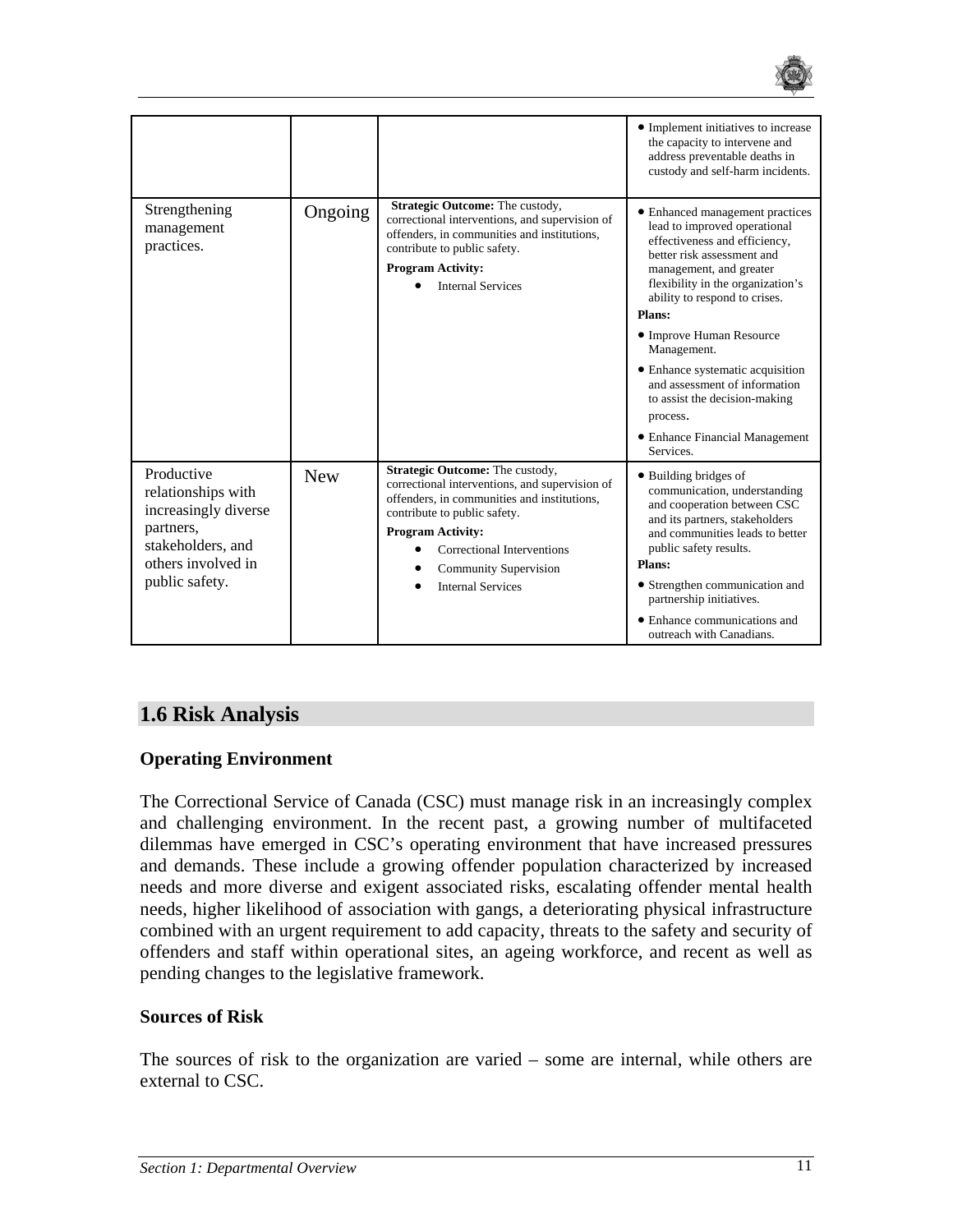

|                                                                                                                                    |            |                                                                                                                                                                                                                                                                                        | • Implement initiatives to increase<br>the capacity to intervene and<br>address preventable deaths in<br>custody and self-harm incidents.                                                                                                                                                                               |
|------------------------------------------------------------------------------------------------------------------------------------|------------|----------------------------------------------------------------------------------------------------------------------------------------------------------------------------------------------------------------------------------------------------------------------------------------|-------------------------------------------------------------------------------------------------------------------------------------------------------------------------------------------------------------------------------------------------------------------------------------------------------------------------|
| Strengthening<br>management<br>practices.                                                                                          | Ongoing    | Strategic Outcome: The custody,<br>correctional interventions, and supervision of<br>offenders, in communities and institutions,<br>contribute to public safety.<br><b>Program Activity:</b><br><b>Internal Services</b>                                                               | • Enhanced management practices<br>lead to improved operational<br>effectiveness and efficiency,<br>better risk assessment and<br>management, and greater<br>flexibility in the organization's<br>ability to respond to crises.<br>Plans:                                                                               |
|                                                                                                                                    |            |                                                                                                                                                                                                                                                                                        | • Improve Human Resource<br>Management.                                                                                                                                                                                                                                                                                 |
|                                                                                                                                    |            |                                                                                                                                                                                                                                                                                        | • Enhance systematic acquisition<br>and assessment of information<br>to assist the decision-making<br>process.                                                                                                                                                                                                          |
|                                                                                                                                    |            |                                                                                                                                                                                                                                                                                        | • Enhance Financial Management<br>Services.                                                                                                                                                                                                                                                                             |
| Productive<br>relationships with<br>increasingly diverse<br>partners,<br>stakeholders, and<br>others involved in<br>public safety. | <b>New</b> | Strategic Outcome: The custody,<br>correctional interventions, and supervision of<br>offenders, in communities and institutions,<br>contribute to public safety.<br><b>Program Activity:</b><br>Correctional Interventions<br><b>Community Supervision</b><br><b>Internal Services</b> | • Building bridges of<br>communication, understanding<br>and cooperation between CSC<br>and its partners, stakeholders<br>and communities leads to better<br>public safety results.<br>Plans:<br>• Strengthen communication and<br>partnership initiatives.<br>• Enhance communications and<br>outreach with Canadians. |

## <span id="page-16-0"></span>**1.6 Risk Analysis**

#### **Operating Environment**

The Correctional Service of Canada (CSC) must manage risk in an increasingly complex and challenging environment. In the recent past, a growing number of multifaceted dilemmas have emerged in CSC's operating environment that have increased pressures and demands. These include a growing offender population characterized by increased needs and more diverse and exigent associated risks, escalating offender mental health needs, higher likelihood of association with gangs, a deteriorating physical infrastructure combined with an urgent requirement to add capacity, threats to the safety and security of offenders and staff within operational sites, an ageing workforce, and recent as well as pending changes to the legislative framework.

#### **Sources of Risk**

The sources of risk to the organization are varied – some are internal, while others are external to CSC.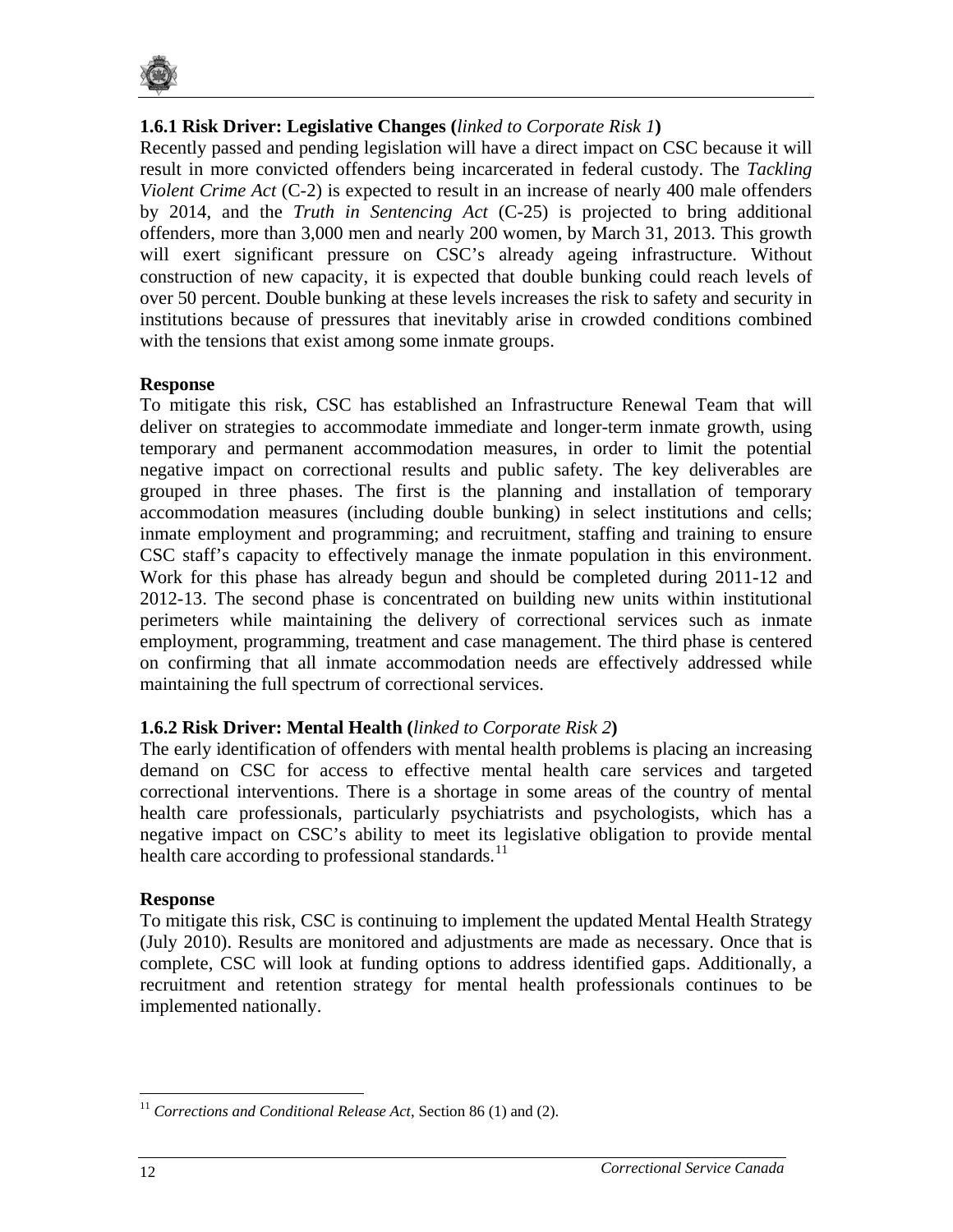

#### **1.6.1 Risk Driver: Legislative Changes (***linked to Corporate Risk 1***)**

Recently passed and pending legislation will have a direct impact on CSC because it will result in more convicted offenders being incarcerated in federal custody. The *Tackling Violent Crime Act* (C-2) is expected to result in an increase of nearly 400 male offenders by 2014, and the *Truth in Sentencing Act* (C-25) is projected to bring additional offenders, more than 3,000 men and nearly 200 women, by March 31, 2013. This growth will exert significant pressure on CSC's already ageing infrastructure. Without construction of new capacity, it is expected that double bunking could reach levels of over 50 percent. Double bunking at these levels increases the risk to safety and security in institutions because of pressures that inevitably arise in crowded conditions combined with the tensions that exist among some inmate groups.

#### **Response**

To mitigate this risk, CSC has established an Infrastructure Renewal Team that will deliver on strategies to accommodate immediate and longer-term inmate growth, using temporary and permanent accommodation measures, in order to limit the potential negative impact on correctional results and public safety. The key deliverables are grouped in three phases. The first is the planning and installation of temporary accommodation measures (including double bunking) in select institutions and cells; inmate employment and programming; and recruitment, staffing and training to ensure CSC staff's capacity to effectively manage the inmate population in this environment. Work for this phase has already begun and should be completed during 2011-12 and 2012-13. The second phase is concentrated on building new units within institutional perimeters while maintaining the delivery of correctional services such as inmate employment, programming, treatment and case management. The third phase is centered on confirming that all inmate accommodation needs are effectively addressed while maintaining the full spectrum of correctional services.

#### **1.6.2 Risk Driver: Mental Health (***linked to Corporate Risk 2***)**

The early identification of offenders with mental health problems is placing an increasing demand on CSC for access to effective mental health care services and targeted correctional interventions. There is a shortage in some areas of the country of mental health care professionals, particularly psychiatrists and psychologists, which has a negative impact on CSC's ability to meet its legislative obligation to provide mental health care according to professional standards.<sup>[11](#page-17-0)</sup>

#### **Response**

To mitigate this risk, CSC is continuing to implement the updated Mental Health Strategy (July 2010). Results are monitored and adjustments are made as necessary. Once that is complete, CSC will look at funding options to address identified gaps. Additionally, a recruitment and retention strategy for mental health professionals continues to be implemented nationally.

<span id="page-17-0"></span><sup>&</sup>lt;sup>11</sup> Corrections and Conditional Release Act, Section 86 (1) and (2).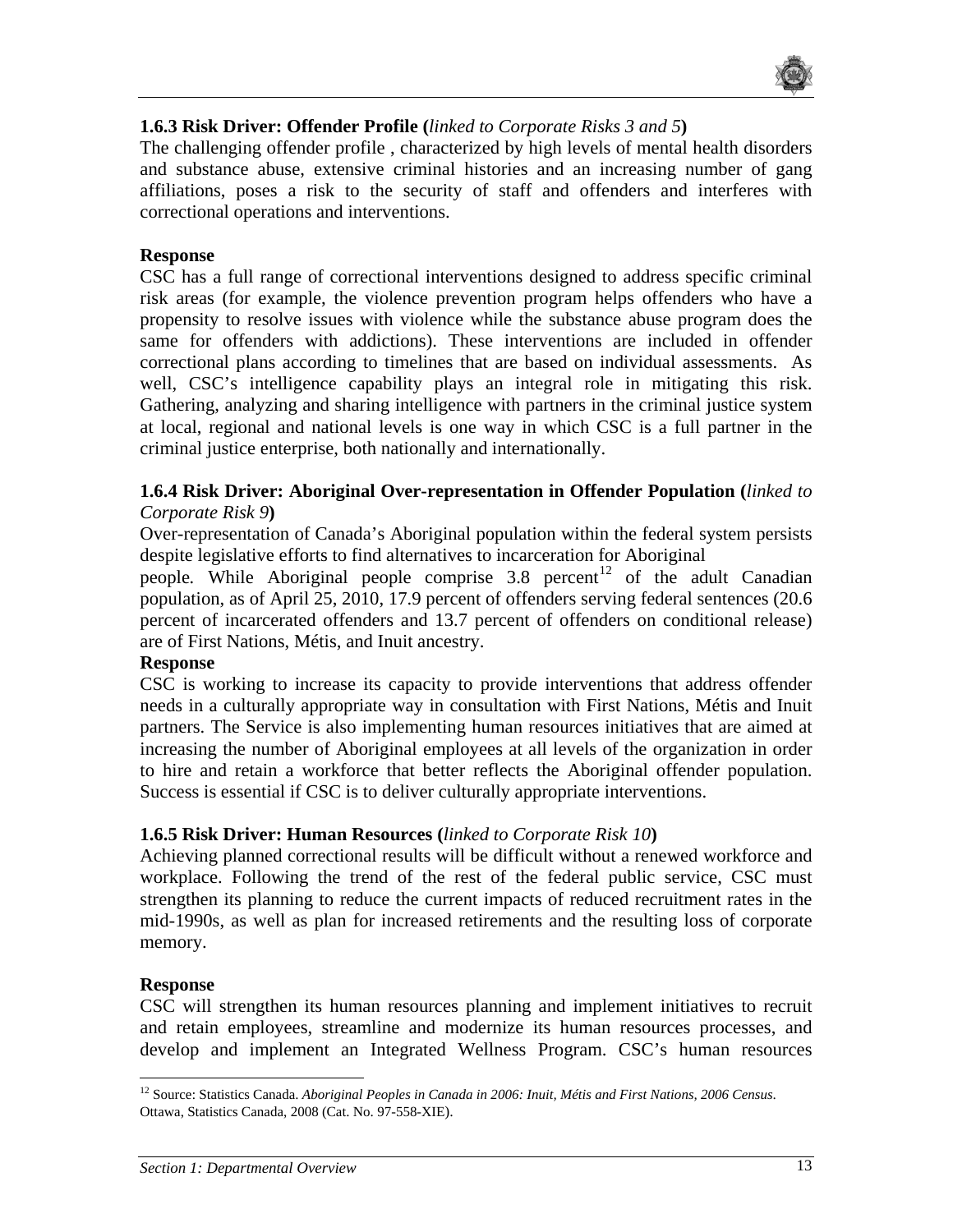

#### **1.6.3 Risk Driver: Offender Profile (***linked to Corporate Risks 3 and 5***)**

The challenging offender profile , characterized by high levels of mental health disorders and substance abuse, extensive criminal histories and an increasing number of gang affiliations, poses a risk to the security of staff and offenders and interferes with correctional operations and interventions.

#### **Response**

CSC has a full range of correctional interventions designed to address specific criminal risk areas (for example, the violence prevention program helps offenders who have a propensity to resolve issues with violence while the substance abuse program does the same for offenders with addictions). These interventions are included in offender correctional plans according to timelines that are based on individual assessments. As well, CSC's intelligence capability plays an integral role in mitigating this risk. Gathering, analyzing and sharing intelligence with partners in the criminal justice system at local, regional and national levels is one way in which CSC is a full partner in the criminal justice enterprise, both nationally and internationally.

#### **1.6.4 Risk Driver: Aboriginal Over-representation in Offender Population (***linked to Corporate Risk 9***)**

Over-representation of Canada's Aboriginal population within the federal system persists despite legislative efforts to find alternatives to incarceration for Aboriginal

people. While Aboriginal people comprise 3.8 percent<sup>[12](#page-18-0)</sup> of the adult Canadian population, as of April 25, 2010, 17.9 percent of offenders serving federal sentences (20.6 percent of incarcerated offenders and 13.7 percent of offenders on conditional release) are of First Nations, Métis, and Inuit ancestry.

#### **Response**

CSC is working to increase its capacity to provide interventions that address offender needs in a culturally appropriate way in consultation with First Nations, Métis and Inuit partners. The Service is also implementing human resources initiatives that are aimed at increasing the number of Aboriginal employees at all levels of the organization in order to hire and retain a workforce that better reflects the Aboriginal offender population. Success is essential if CSC is to deliver culturally appropriate interventions.

#### **1.6.5 Risk Driver: Human Resources (***linked to Corporate Risk 10***)**

Achieving planned correctional results will be difficult without a renewed workforce and workplace. Following the trend of the rest of the federal public service, CSC must strengthen its planning to reduce the current impacts of reduced recruitment rates in the mid-1990s, as well as plan for increased retirements and the resulting loss of corporate memory.

#### **Response**

CSC will strengthen its human resources planning and implement initiatives to recruit and retain employees, streamline and modernize its human resources processes, and develop and implement an Integrated Wellness Program. CSC's human resources

<span id="page-18-0"></span> <sup>12</sup> Source: Statistics Canada. *Aboriginal Peoples in Canada in 2006: Inuit, Métis and First Nations, 2006 Census*. Ottawa, Statistics Canada, 2008 (Cat. No. 97-558-XIE).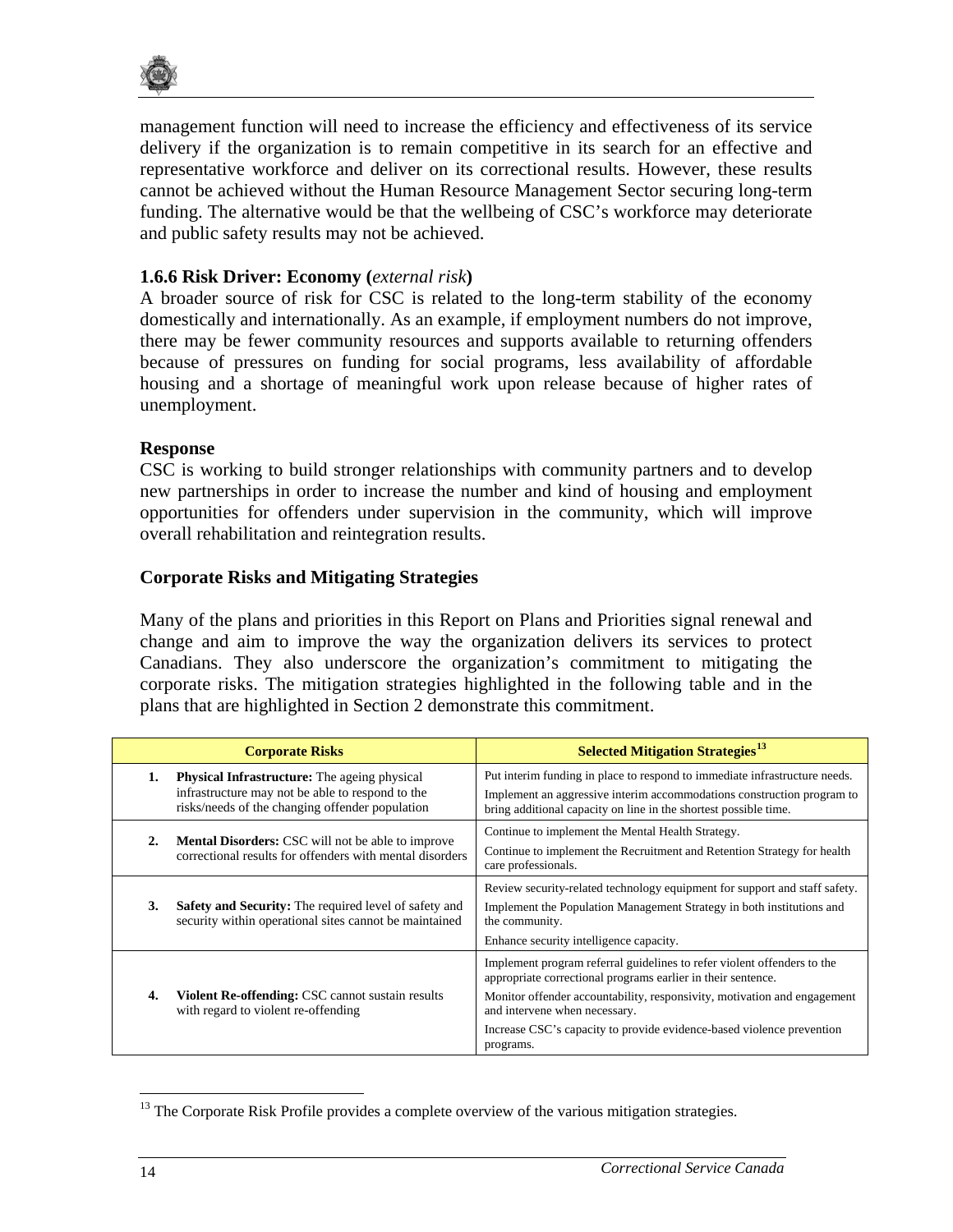

management function will need to increase the efficiency and effectiveness of its service delivery if the organization is to remain competitive in its search for an effective and representative workforce and deliver on its correctional results. However, these results cannot be achieved without the Human Resource Management Sector securing long-term funding. The alternative would be that the wellbeing of CSC's workforce may deteriorate and public safety results may not be achieved.

#### **1.6.6 Risk Driver: Economy (***external risk***)**

A broader source of risk for CSC is related to the long-term stability of the economy domestically and internationally. As an example, if employment numbers do not improve, there may be fewer community resources and supports available to returning offenders because of pressures on funding for social programs, less availability of affordable housing and a shortage of meaningful work upon release because of higher rates of unemployment.

#### **Response**

CSC is working to build stronger relationships with community partners and to develop new partnerships in order to increase the number and kind of housing and employment opportunities for offenders under supervision in the community, which will improve overall rehabilitation and reintegration results.

#### **Corporate Risks and Mitigating Strategies**

Many of the plans and priorities in this Report on Plans and Priorities signal renewal and change and aim to improve the way the organization delivers its services to protect Canadians. They also underscore the organization's commitment to mitigating the corporate risks. The mitigation strategies highlighted in the following table and in the plans that are highlighted in Section 2 demonstrate this commitment.

|    | <b>Corporate Risks</b>                                                                                                                                     | <b>Selected Mitigation Strategies</b> <sup>13</sup>                                                                                                                                                                                                                                                                                        |
|----|------------------------------------------------------------------------------------------------------------------------------------------------------------|--------------------------------------------------------------------------------------------------------------------------------------------------------------------------------------------------------------------------------------------------------------------------------------------------------------------------------------------|
| 1. | <b>Physical Infrastructure:</b> The ageing physical<br>infrastructure may not be able to respond to the<br>risks/needs of the changing offender population | Put interim funding in place to respond to immediate infrastructure needs.<br>Implement an aggressive interim accommodations construction program to<br>bring additional capacity on line in the shortest possible time.                                                                                                                   |
| 2. | <b>Mental Disorders:</b> CSC will not be able to improve<br>correctional results for offenders with mental disorders                                       | Continue to implement the Mental Health Strategy.<br>Continue to implement the Recruitment and Retention Strategy for health<br>care professionals.                                                                                                                                                                                        |
| 3. | <b>Safety and Security:</b> The required level of safety and<br>security within operational sites cannot be maintained                                     | Review security-related technology equipment for support and staff safety.<br>Implement the Population Management Strategy in both institutions and<br>the community.<br>Enhance security intelligence capacity.                                                                                                                           |
| 4. | <b>Violent Re-offending:</b> CSC cannot sustain results<br>with regard to violent re-offending                                                             | Implement program referral guidelines to refer violent offenders to the<br>appropriate correctional programs earlier in their sentence.<br>Monitor offender accountability, responsivity, motivation and engagement<br>and intervene when necessary.<br>Increase CSC's capacity to provide evidence-based violence prevention<br>programs. |

<span id="page-19-0"></span><sup>&</sup>lt;sup>13</sup> The Corporate Risk Profile provides a complete overview of the various mitigation strategies.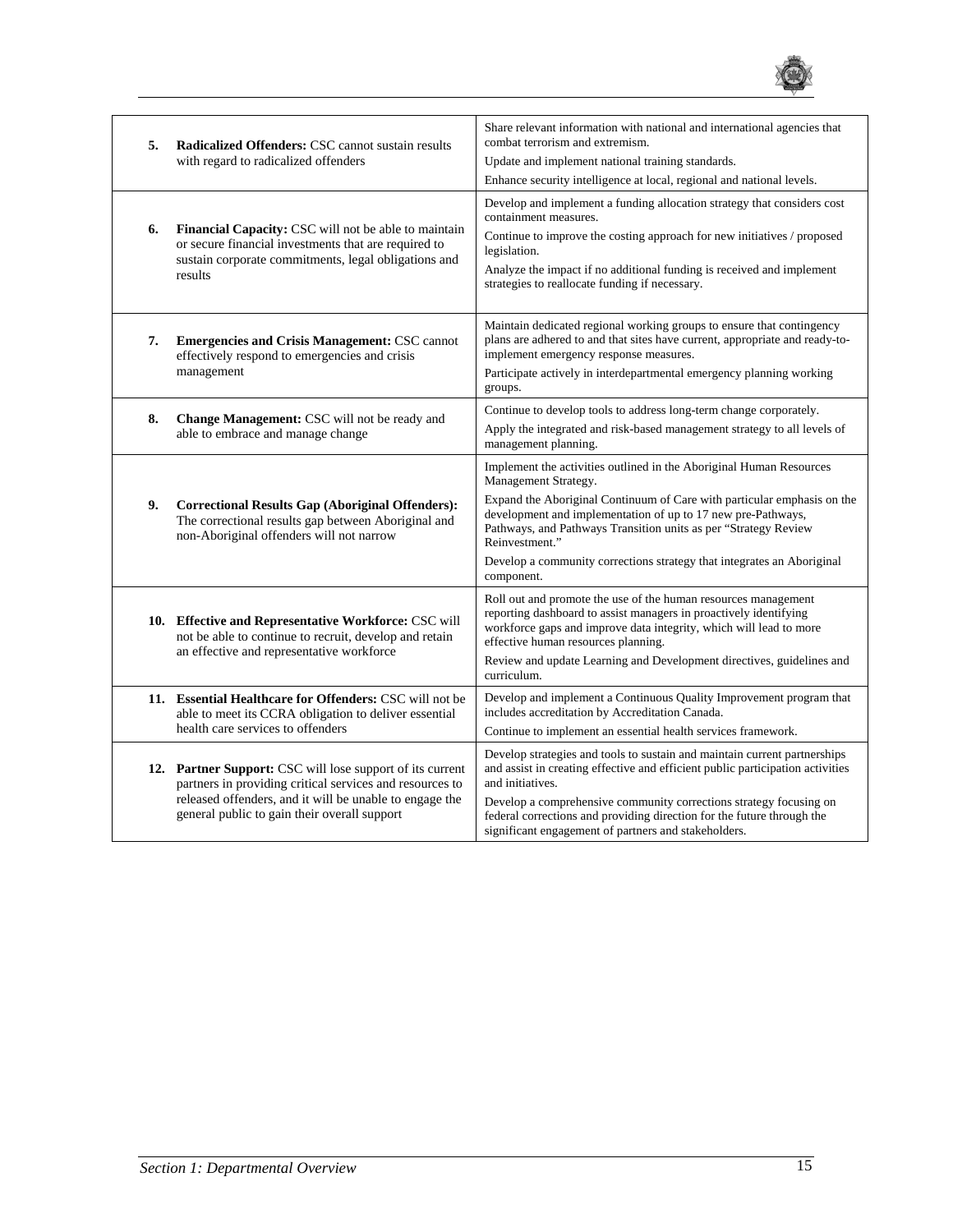

| 5. | <b>Radicalized Offenders: CSC cannot sustain results</b><br>with regard to radicalized offenders                                                                                                                                 | Share relevant information with national and international agencies that<br>combat terrorism and extremism.<br>Update and implement national training standards.<br>Enhance security intelligence at local, regional and national levels.                                                                                                                                                                           |
|----|----------------------------------------------------------------------------------------------------------------------------------------------------------------------------------------------------------------------------------|---------------------------------------------------------------------------------------------------------------------------------------------------------------------------------------------------------------------------------------------------------------------------------------------------------------------------------------------------------------------------------------------------------------------|
| 6. | Financial Capacity: CSC will not be able to maintain<br>or secure financial investments that are required to<br>sustain corporate commitments, legal obligations and<br>results                                                  | Develop and implement a funding allocation strategy that considers cost<br>containment measures.<br>Continue to improve the costing approach for new initiatives / proposed<br>legislation.<br>Analyze the impact if no additional funding is received and implement<br>strategies to reallocate funding if necessary.                                                                                              |
| 7. | <b>Emergencies and Crisis Management: CSC cannot</b><br>effectively respond to emergencies and crisis<br>management                                                                                                              | Maintain dedicated regional working groups to ensure that contingency<br>plans are adhered to and that sites have current, appropriate and ready-to-<br>implement emergency response measures.<br>Participate actively in interdepartmental emergency planning working<br>groups.                                                                                                                                   |
| 8. | Change Management: CSC will not be ready and<br>able to embrace and manage change                                                                                                                                                | Continue to develop tools to address long-term change corporately.<br>Apply the integrated and risk-based management strategy to all levels of<br>management planning.                                                                                                                                                                                                                                              |
| 9. | <b>Correctional Results Gap (Aboriginal Offenders):</b><br>The correctional results gap between Aboriginal and<br>non-Aboriginal offenders will not narrow                                                                       | Implement the activities outlined in the Aboriginal Human Resources<br>Management Strategy.<br>Expand the Aboriginal Continuum of Care with particular emphasis on the<br>development and implementation of up to 17 new pre-Pathways,<br>Pathways, and Pathways Transition units as per "Strategy Review<br>Reinvestment."<br>Develop a community corrections strategy that integrates an Aboriginal<br>component. |
|    | 10. Effective and Representative Workforce: CSC will<br>not be able to continue to recruit, develop and retain<br>an effective and representative workforce                                                                      | Roll out and promote the use of the human resources management<br>reporting dashboard to assist managers in proactively identifying<br>workforce gaps and improve data integrity, which will lead to more<br>effective human resources planning.<br>Review and update Learning and Development directives, guidelines and<br>curriculum.                                                                            |
|    | 11. Essential Healthcare for Offenders: CSC will not be<br>able to meet its CCRA obligation to deliver essential<br>health care services to offenders                                                                            | Develop and implement a Continuous Quality Improvement program that<br>includes accreditation by Accreditation Canada.<br>Continue to implement an essential health services framework.                                                                                                                                                                                                                             |
|    | 12. Partner Support: CSC will lose support of its current<br>partners in providing critical services and resources to<br>released offenders, and it will be unable to engage the<br>general public to gain their overall support | Develop strategies and tools to sustain and maintain current partnerships<br>and assist in creating effective and efficient public participation activities<br>and initiatives.<br>Develop a comprehensive community corrections strategy focusing on<br>federal corrections and providing direction for the future through the<br>significant engagement of partners and stakeholders.                             |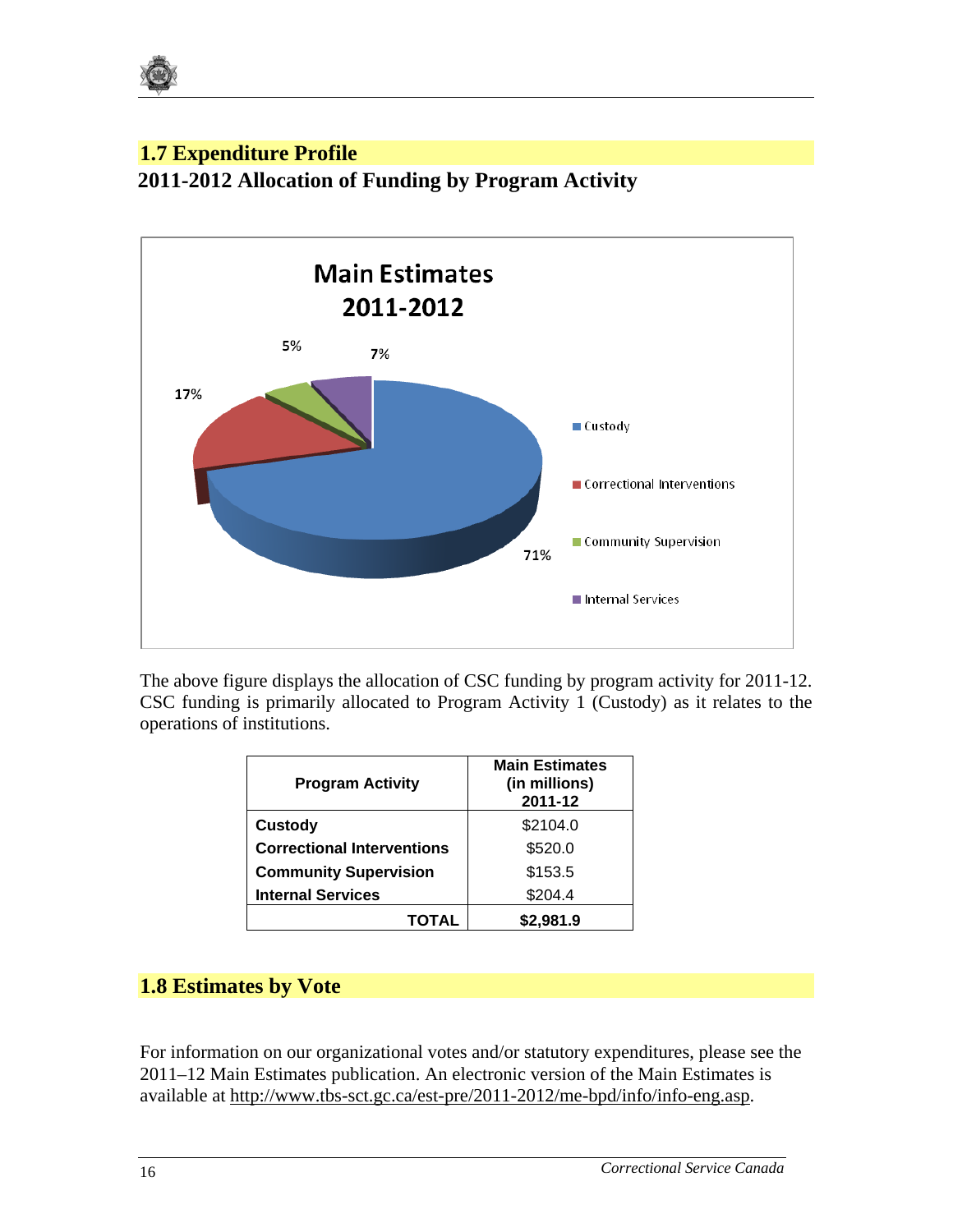

## <span id="page-21-0"></span>**1.7 Expenditure Profile**

## **2011-2012 Allocation of Funding by Program Activity**



The above figure displays the allocation of CSC funding by program activity for 2011-12. CSC funding is primarily allocated to Program Activity 1 (Custody) as it relates to the operations of institutions.

| <b>Program Activity</b>           | <b>Main Estimates</b><br>(in millions)<br>2011-12 |
|-----------------------------------|---------------------------------------------------|
| Custody                           | \$2104.0                                          |
| <b>Correctional Interventions</b> | \$520.0                                           |
| <b>Community Supervision</b>      | \$153.5                                           |
| <b>Internal Services</b>          | \$204.4                                           |
| <b>TOTAL</b>                      | \$2,981.9                                         |

#### <span id="page-21-1"></span>**1.8 Estimates by Vote**

For information on our organizational votes and/or statutory expenditures, please see the 2011–12 Main Estimates publication. An electronic version of the Main Estimates is available at [http://www.tbs-sct.gc.ca/est-pre/2011-2012/me-bpd/info/info-eng.asp.](http://publiservice.tbs-sct.gc.ca/est-pre/2011-2012/me-bpd/info/info-eng.asp)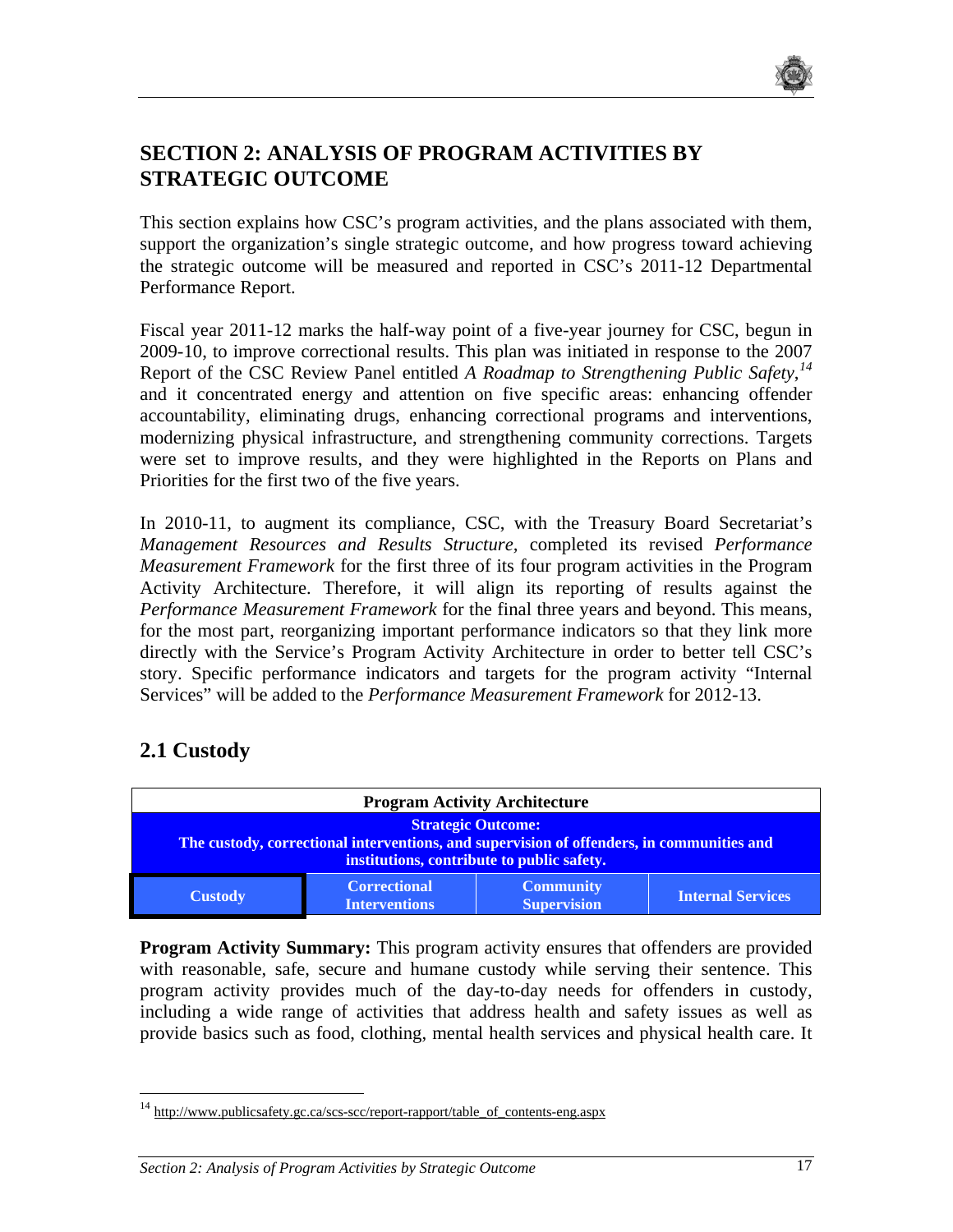

## <span id="page-22-0"></span>**SECTION 2: ANALYSIS OF PROGRAM ACTIVITIES BY STRATEGIC OUTCOME**

This section explains how CSC's program activities, and the plans associated with them, support the organization's single strategic outcome, and how progress toward achieving the strategic outcome will be measured and reported in CSC's 2011-12 Departmental Performance Report.

Fiscal year 2011-12 marks the half-way point of a five-year journey for CSC, begun in 2009-10, to improve correctional results. This plan was initiated in response to the 2007 Report of the CSC Review Panel entitled *A Roadmap to Strengthening Public Safety*, *[14](#page-22-2)* and it concentrated energy and attention on five specific areas: enhancing offender accountability, eliminating drugs, enhancing correctional programs and interventions, modernizing physical infrastructure, and strengthening community corrections. Targets were set to improve results, and they were highlighted in the Reports on Plans and Priorities for the first two of the five years.

In 2010-11, to augment its compliance, CSC, with the Treasury Board Secretariat's *Management Resources and Results Structure,* completed its revised *Performance Measurement Framework* for the first three of its four program activities in the Program Activity Architecture. Therefore, it will align its reporting of results against the *Performance Measurement Framework* for the final three years and beyond. This means, for the most part, reorganizing important performance indicators so that they link more directly with the Service's Program Activity Architecture in order to better tell CSC's story. Specific performance indicators and targets for the program activity "Internal Services" will be added to the *Performance Measurement Framework* for 2012-13.

# <span id="page-22-1"></span>**2.1 Custody**

| <b>Program Activity Architecture</b>                                                                                                                                 |  |  |  |  |  |
|----------------------------------------------------------------------------------------------------------------------------------------------------------------------|--|--|--|--|--|
| <b>Strategic Outcome:</b><br>The custody, correctional interventions, and supervision of offenders, in communities and<br>institutions, contribute to public safety. |  |  |  |  |  |
| <b>Correctional</b><br><b>Community</b><br><b>Internal Services</b><br><b>Custody</b><br><b>Supervision</b><br><b>Interventions</b>                                  |  |  |  |  |  |

**Program Activity Summary:** This program activity ensures that offenders are provided with reasonable, safe, secure and humane custody while serving their sentence. This program activity provides much of the day-to-day needs for offenders in custody, including a wide range of activities that address health and safety issues as well as provide basics such as food, clothing, mental health services and physical health care. It

<span id="page-22-2"></span><sup>&</sup>lt;sup>14</sup> http://www.publicsafety.gc.c<u>a/scs-scc/report-rapport/table\_of\_contents-eng.aspx</u>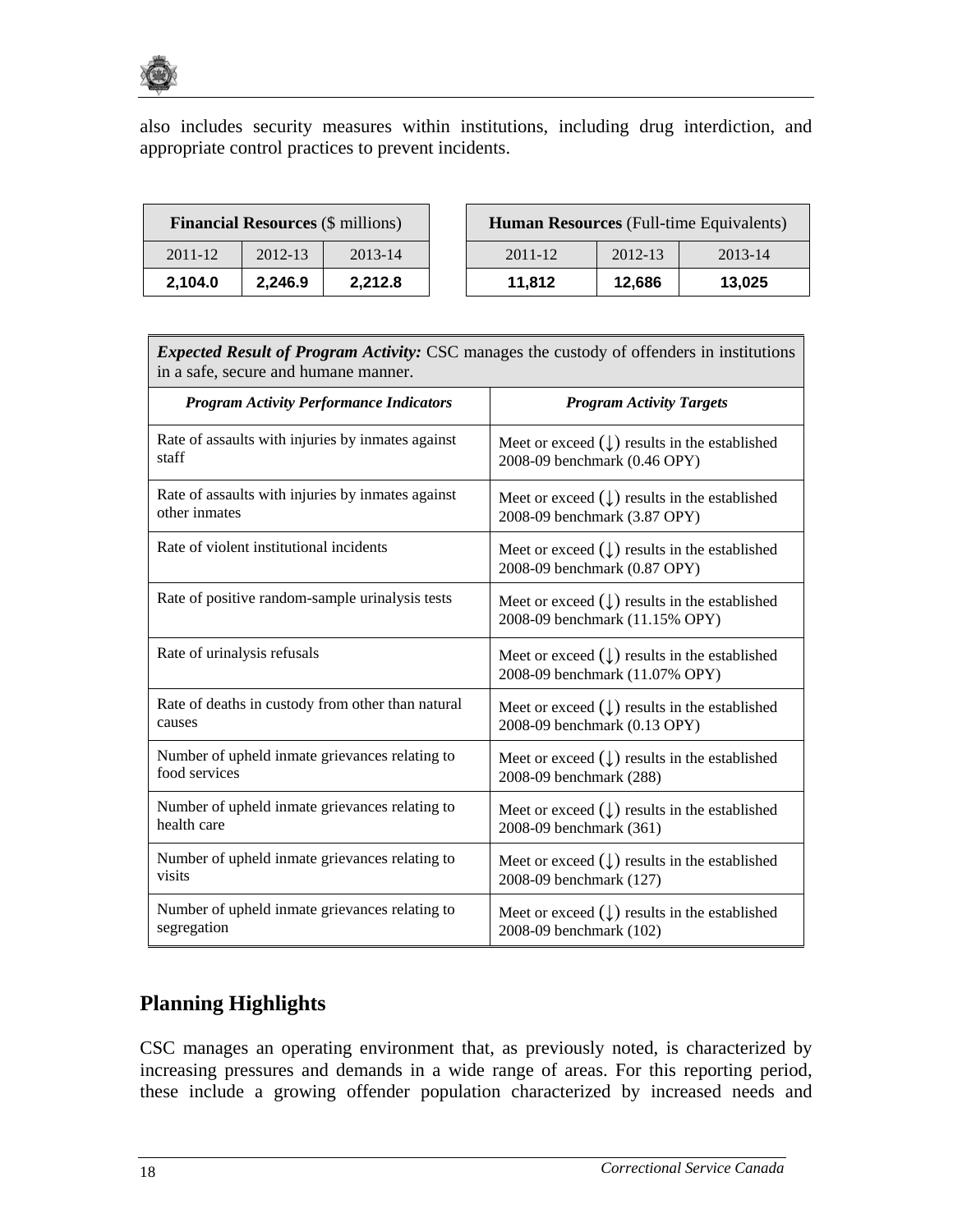

also includes security measures within institutions, including drug interdiction, and appropriate control practices to prevent incidents.

|             | <b>Financial Resources (\$ millions)</b> |         | <b>Human Resources</b> (Full-time Equivalents) |         |         |
|-------------|------------------------------------------|---------|------------------------------------------------|---------|---------|
| $2011 - 12$ | 2012-13                                  | 2013-14 | $2011 - 12$                                    | 2012-13 | 2013-14 |
| 2.104.0     | 2.246.9                                  | 2,212.8 | 11.812                                         | 12.686  | 13.025  |

*Expected Result of Program Activity:* CSC manages the custody of offenders in institutions in a safe, secure and humane manner.

| <b>Program Activity Performance Indicators</b>    | <b>Program Activity Targets</b>                                                            |
|---------------------------------------------------|--------------------------------------------------------------------------------------------|
| Rate of assaults with injuries by inmates against | Meet or exceed $(\downarrow)$ results in the established                                   |
| staff                                             | 2008-09 benchmark (0.46 OPY)                                                               |
| Rate of assaults with injuries by inmates against | Meet or exceed $(\downarrow)$ results in the established                                   |
| other inmates                                     | 2008-09 benchmark (3.87 OPY)                                                               |
| Rate of violent institutional incidents           | Meet or exceed $(\downarrow)$ results in the established<br>2008-09 benchmark (0.87 OPY)   |
| Rate of positive random-sample urinalysis tests   | Meet or exceed $(\downarrow)$ results in the established<br>2008-09 benchmark (11.15% OPY) |
| Rate of urinalysis refusals                       | Meet or exceed $(\downarrow)$ results in the established<br>2008-09 benchmark (11.07% OPY) |
| Rate of deaths in custody from other than natural | Meet or exceed $(\downarrow)$ results in the established                                   |
| causes                                            | 2008-09 benchmark (0.13 OPY)                                                               |
| Number of upheld inmate grievances relating to    | Meet or exceed $(\downarrow)$ results in the established                                   |
| food services                                     | 2008-09 benchmark (288)                                                                    |
| Number of upheld inmate grievances relating to    | Meet or exceed $(\downarrow)$ results in the established                                   |
| health care                                       | 2008-09 benchmark (361)                                                                    |
| Number of upheld inmate grievances relating to    | Meet or exceed $(\downarrow)$ results in the established                                   |
| visits                                            | 2008-09 benchmark (127)                                                                    |
| Number of upheld inmate grievances relating to    | Meet or exceed $(\downarrow)$ results in the established                                   |
| segregation                                       | 2008-09 benchmark (102)                                                                    |

# **Planning Highlights**

CSC manages an operating environment that, as previously noted, is characterized by increasing pressures and demands in a wide range of areas. For this reporting period, these include a growing offender population characterized by increased needs and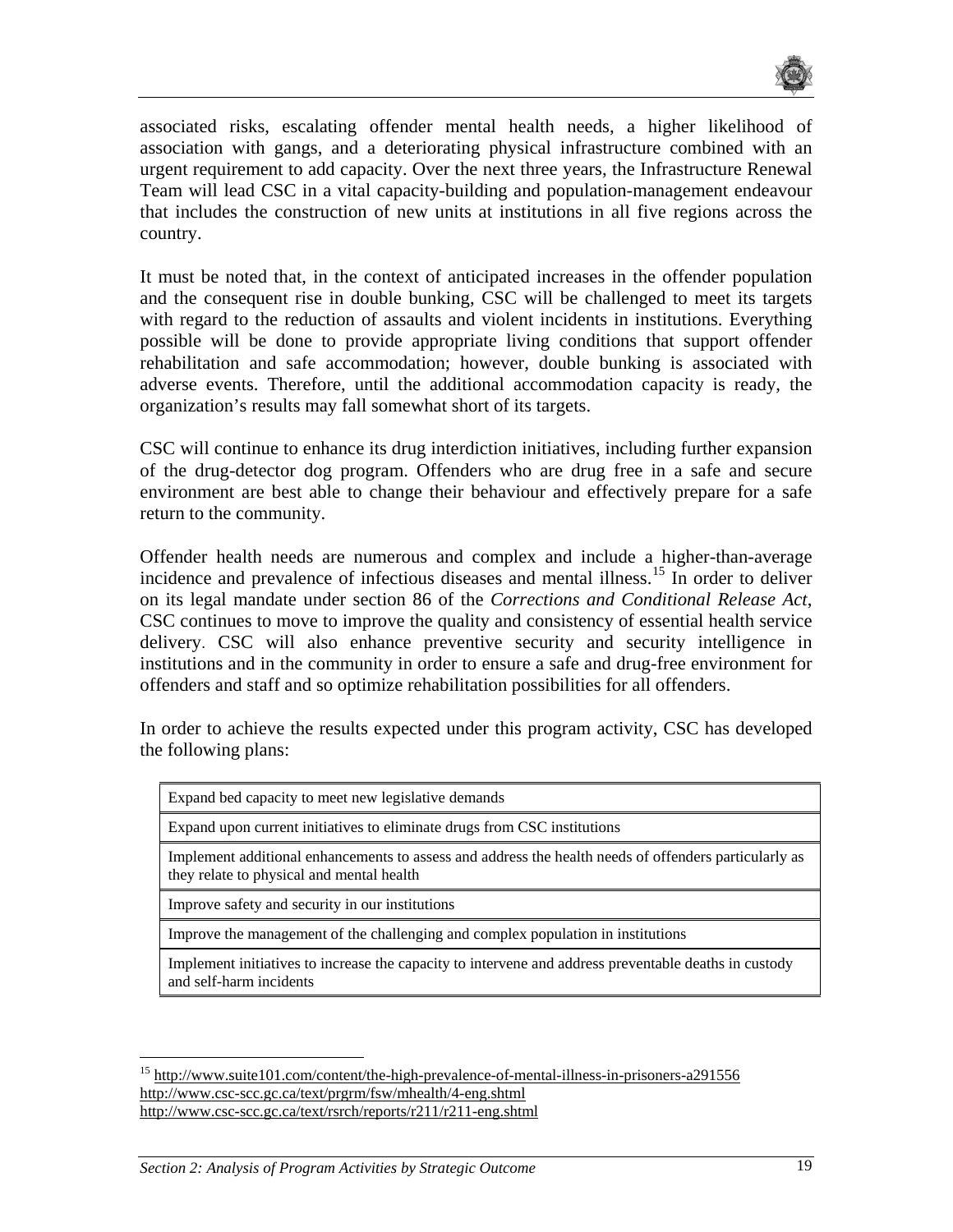

associated risks, escalating offender mental health needs, a higher likelihood of association with gangs, and a deteriorating physical infrastructure combined with an urgent requirement to add capacity. Over the next three years, the Infrastructure Renewal Team will lead CSC in a vital capacity-building and population-management endeavour that includes the construction of new units at institutions in all five regions across the country.

It must be noted that, in the context of anticipated increases in the offender population and the consequent rise in double bunking, CSC will be challenged to meet its targets with regard to the reduction of assaults and violent incidents in institutions. Everything possible will be done to provide appropriate living conditions that support offender rehabilitation and safe accommodation; however, double bunking is associated with adverse events. Therefore, until the additional accommodation capacity is ready, the organization's results may fall somewhat short of its targets.

CSC will continue to enhance its drug interdiction initiatives, including further expansion of the drug-detector dog program. Offenders who are drug free in a safe and secure environment are best able to change their behaviour and effectively prepare for a safe return to the community.

Offender health needs are numerous and complex and include a higher-than-average incidence and prevalence of infectious diseases and mental illness. [15](#page-24-0) In order to deliver on its legal mandate under section 86 of the *Corrections and Conditional Release Act*, CSC continues to move to improve the quality and consistency of essential health service delivery. CSC will also enhance preventive security and security intelligence in institutions and in the community in order to ensure a safe and drug-free environment for offenders and staff and so optimize rehabilitation possibilities for all offenders.

In order to achieve the results expected under this program activity, CSC has developed the following plans:

| Expand bed capacity to meet new legislative demands                                                                                                |
|----------------------------------------------------------------------------------------------------------------------------------------------------|
| Expand upon current initiatives to eliminate drugs from CSC institutions                                                                           |
| Implement additional enhancements to assess and address the health needs of offenders particularly as<br>they relate to physical and mental health |
| Improve safety and security in our institutions                                                                                                    |
| Improve the management of the challenging and complex population in institutions                                                                   |
| Implement initiatives to increase the capacity to intervene and address preventable deaths in custody<br>and self-harm incidents                   |
|                                                                                                                                                    |

<span id="page-24-0"></span><sup>&</sup>lt;sup>15</sup> <http://www.suite101.com/content/the-high-prevalence-of-mental-illness-in-prisoners-a291556> <http://www.csc-scc.gc.ca/text/prgrm/fsw/mhealth/4-eng.shtml> <http://www.csc-scc.gc.ca/text/rsrch/reports/r211/r211-eng.shtml>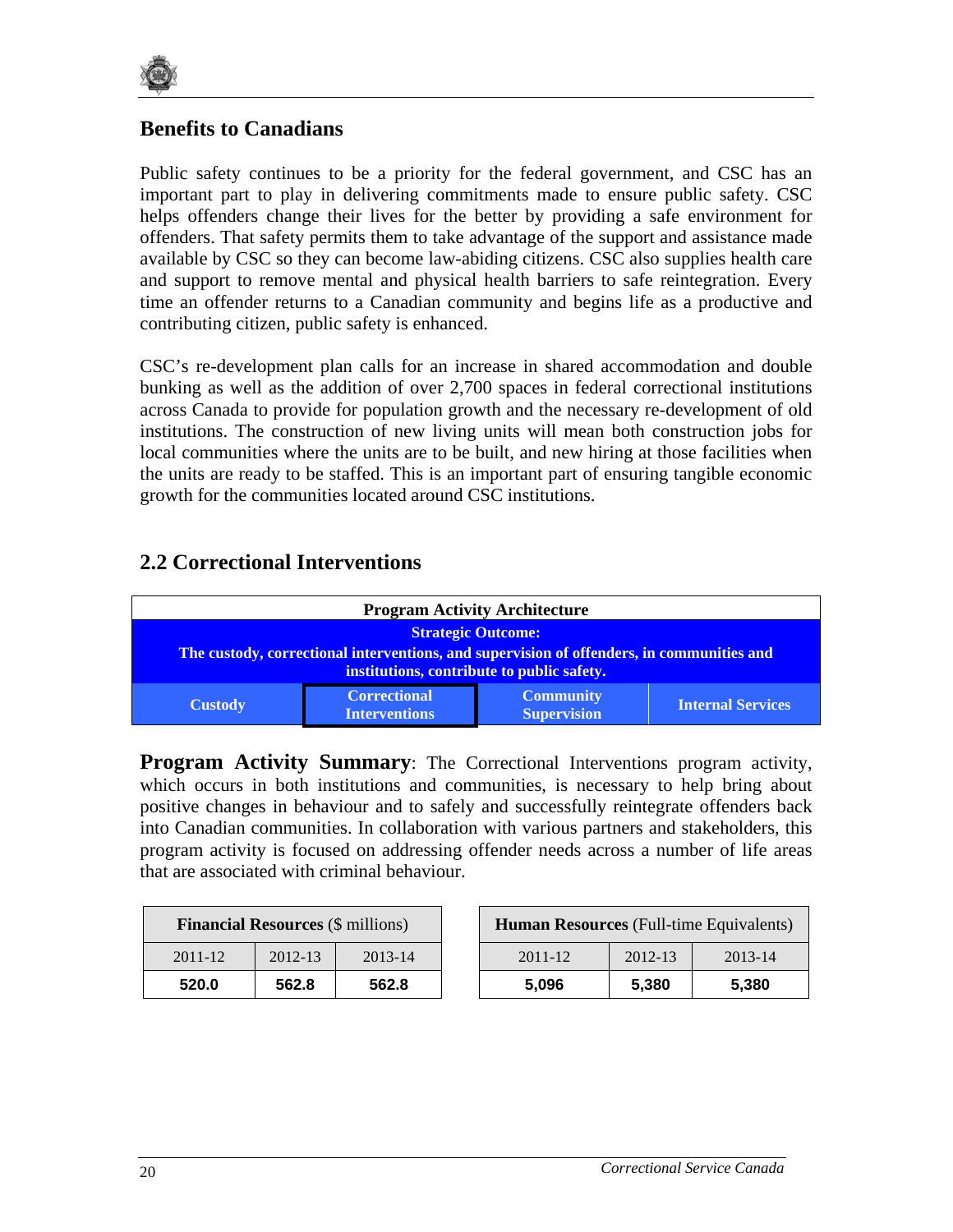

## **Benefits to Canadians**

Public safety continues to be a priority for the federal government, and CSC has an important part to play in delivering commitments made to ensure public safety. CSC helps offenders change their lives for the better by providing a safe environment for offenders. That safety permits them to take advantage of the support and assistance made available by CSC so they can become law-abiding citizens. CSC also supplies health care and support to remove mental and physical health barriers to safe reintegration. Every time an offender returns to a Canadian community and begins life as a productive and contributing citizen, public safety is enhanced.

CSC's re-development plan calls for an increase in shared accommodation and double bunking as well as the addition of over 2,700 spaces in federal correctional institutions across Canada to provide for population growth and the necessary re-development of old institutions. The construction of new living units will mean both construction jobs for local communities where the units are to be built, and new hiring at those facilities when the units are ready to be staffed. This is an important part of ensuring tangible economic growth for the communities located around CSC institutions.

## <span id="page-25-0"></span>**2.2 Correctional Interventions**

| <b>Program Activity Architecture</b>                                                                                                    |                                             |                                        |                          |  |
|-----------------------------------------------------------------------------------------------------------------------------------------|---------------------------------------------|----------------------------------------|--------------------------|--|
| <b>Strategic Outcome:</b>                                                                                                               |                                             |                                        |                          |  |
| The custody, correctional interventions, and supervision of offenders, in communities and<br>institutions, contribute to public safety. |                                             |                                        |                          |  |
| <b>Custody</b>                                                                                                                          | <b>Correctional</b><br><b>Interventions</b> | <b>Community</b><br><b>Supervision</b> | <b>Internal Services</b> |  |

**Program Activity Summary:** The Correctional Interventions program activity, which occurs in both institutions and communities, is necessary to help bring about positive changes in behaviour and to safely and successfully reintegrate offenders back into Canadian communities. In collaboration with various partners and stakeholders, this program activity is focused on addressing offender needs across a number of life areas that are associated with criminal behaviour.

| <b>Financial Resources (\$ millions)</b> |       |  |  |  |  |  |
|------------------------------------------|-------|--|--|--|--|--|
| 2012-13<br>2011-12<br>2013-14            |       |  |  |  |  |  |
| 520.0                                    | 562.8 |  |  |  |  |  |

| <b>Financial Resources (\$ millions)</b> |         | <b>Human Resources</b> (Full-time Equivalents) |             |         |         |
|------------------------------------------|---------|------------------------------------------------|-------------|---------|---------|
| 2011-12                                  | 2012-13 | $2013 - 14$                                    | $2011 - 12$ | 2012-13 | 2013-14 |
| 520.0                                    | 562.8   | 562.8                                          | 5.096       | 5.380   | 5,380   |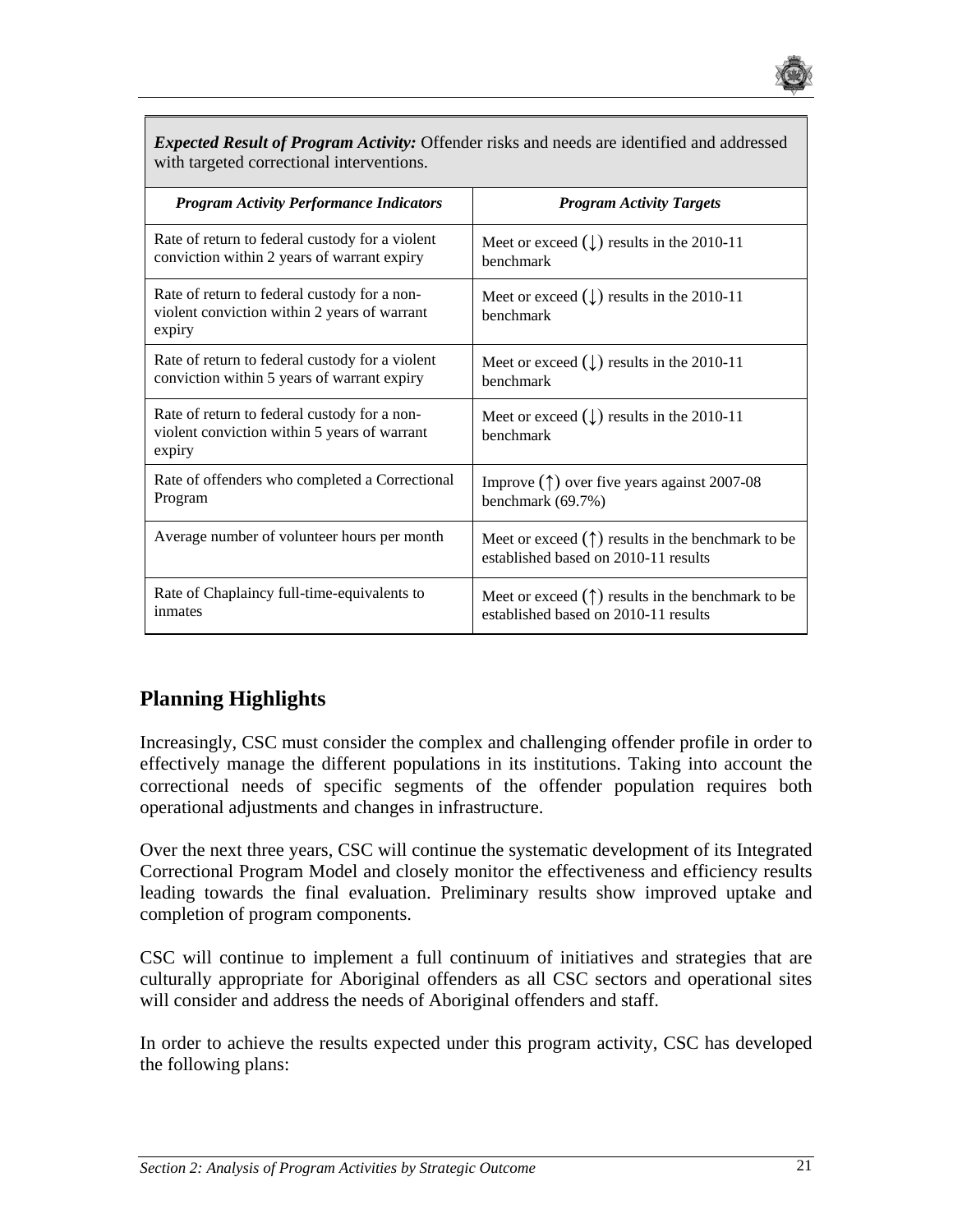

| with targeted correctional interventions.                                                              |                                                                                                    |  |  |  |
|--------------------------------------------------------------------------------------------------------|----------------------------------------------------------------------------------------------------|--|--|--|
| <b>Program Activity Performance Indicators</b>                                                         | <b>Program Activity Targets</b>                                                                    |  |  |  |
| Rate of return to federal custody for a violent<br>conviction within 2 years of warrant expiry         | Meet or exceed $(\downarrow)$ results in the 2010-11<br>benchmark                                  |  |  |  |
| Rate of return to federal custody for a non-<br>violent conviction within 2 years of warrant<br>expiry | Meet or exceed $(\downarrow)$ results in the 2010-11<br>benchmark                                  |  |  |  |
| Rate of return to federal custody for a violent<br>conviction within 5 years of warrant expiry         | Meet or exceed $(\downarrow)$ results in the 2010-11<br>benchmark                                  |  |  |  |
| Rate of return to federal custody for a non-<br>violent conviction within 5 years of warrant<br>expiry | Meet or exceed $(\downarrow)$ results in the 2010-11<br>benchmark                                  |  |  |  |
| Rate of offenders who completed a Correctional<br>Program                                              | Improve $(\uparrow)$ over five years against 2007-08<br>benchmark (69.7%)                          |  |  |  |
| Average number of volunteer hours per month                                                            | Meet or exceed $(\uparrow)$ results in the benchmark to be<br>established based on 2010-11 results |  |  |  |
| Rate of Chaplaincy full-time-equivalents to<br>inmates                                                 | Meet or exceed $(\uparrow)$ results in the benchmark to be<br>established based on 2010-11 results |  |  |  |

**Expected Result of Program Activity:** Offender risks and needs are identified and addressed

# **Planning Highlights**

Increasingly, CSC must consider the complex and challenging offender profile in order to effectively manage the different populations in its institutions. Taking into account the correctional needs of specific segments of the offender population requires both operational adjustments and changes in infrastructure.

Over the next three years, CSC will continue the systematic development of its Integrated Correctional Program Model and closely monitor the effectiveness and efficiency results leading towards the final evaluation. Preliminary results show improved uptake and completion of program components.

CSC will continue to implement a full continuum of initiatives and strategies that are culturally appropriate for Aboriginal offenders as all CSC sectors and operational sites will consider and address the needs of Aboriginal offenders and staff.

In order to achieve the results expected under this program activity, CSC has developed the following plans: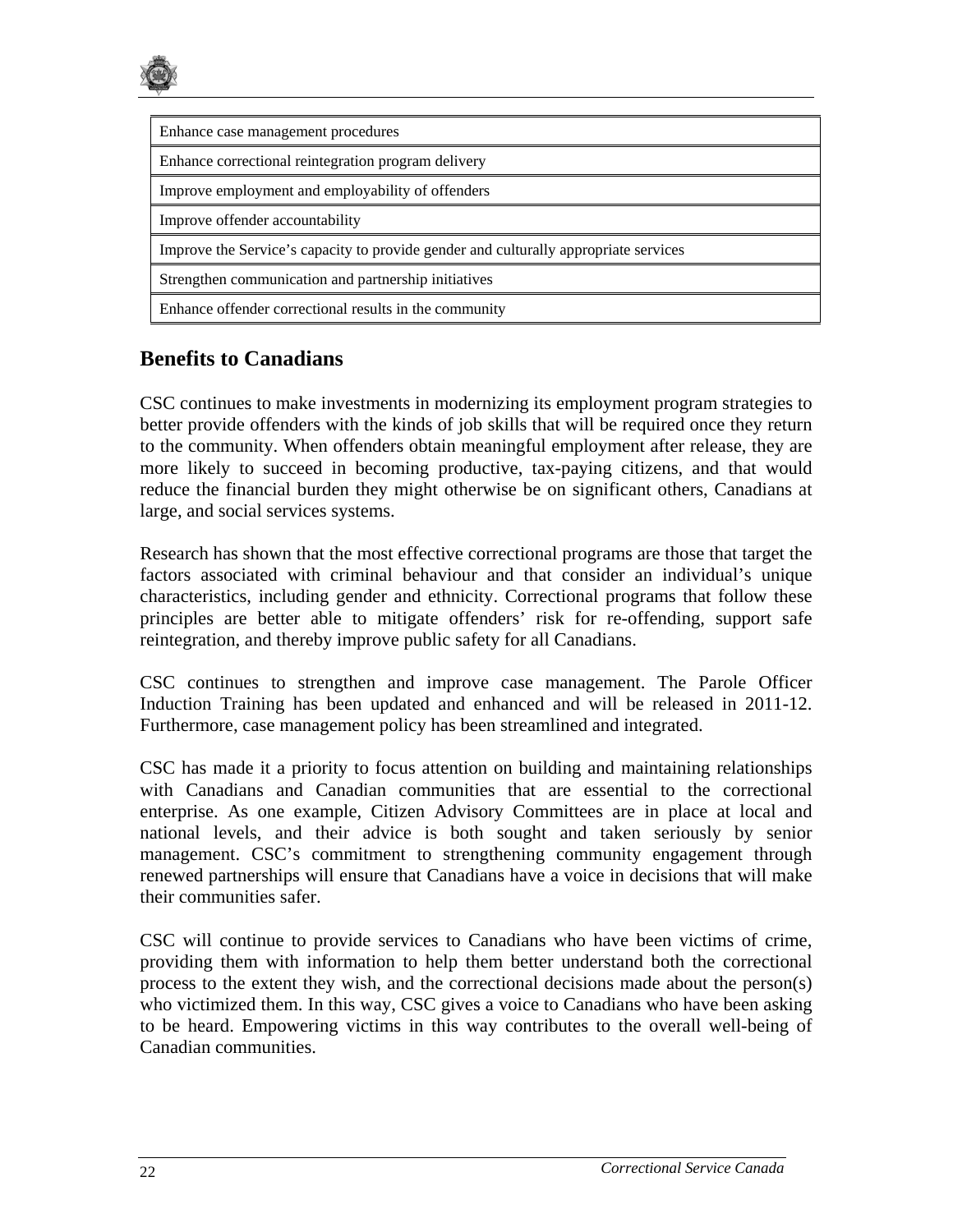

| Enhance case management procedures                                                   |
|--------------------------------------------------------------------------------------|
| Enhance correctional reintegration program delivery                                  |
| Improve employment and employability of offenders                                    |
| Improve offender accountability                                                      |
| Improve the Service's capacity to provide gender and culturally appropriate services |
| Strengthen communication and partnership initiatives                                 |
| Enhance offender correctional results in the community                               |

# **Benefits to Canadians**

CSC continues to make investments in modernizing its employment program strategies to better provide offenders with the kinds of job skills that will be required once they return to the community. When offenders obtain meaningful employment after release, they are more likely to succeed in becoming productive, tax-paying citizens, and that would reduce the financial burden they might otherwise be on significant others, Canadians at large, and social services systems.

Research has shown that the most effective correctional programs are those that target the factors associated with criminal behaviour and that consider an individual's unique characteristics, including gender and ethnicity. Correctional programs that follow these principles are better able to mitigate offenders' risk for re-offending, support safe reintegration, and thereby improve public safety for all Canadians.

CSC continues to strengthen and improve case management. The Parole Officer Induction Training has been updated and enhanced and will be released in 2011-12. Furthermore, case management policy has been streamlined and integrated.

CSC has made it a priority to focus attention on building and maintaining relationships with Canadians and Canadian communities that are essential to the correctional enterprise. As one example, Citizen Advisory Committees are in place at local and national levels, and their advice is both sought and taken seriously by senior management. CSC's commitment to strengthening community engagement through renewed partnerships will ensure that Canadians have a voice in decisions that will make their communities safer.

CSC will continue to provide services to Canadians who have been victims of crime, providing them with information to help them better understand both the correctional process to the extent they wish, and the correctional decisions made about the person(s) who victimized them. In this way, CSC gives a voice to Canadians who have been asking to be heard. Empowering victims in this way contributes to the overall well-being of Canadian communities.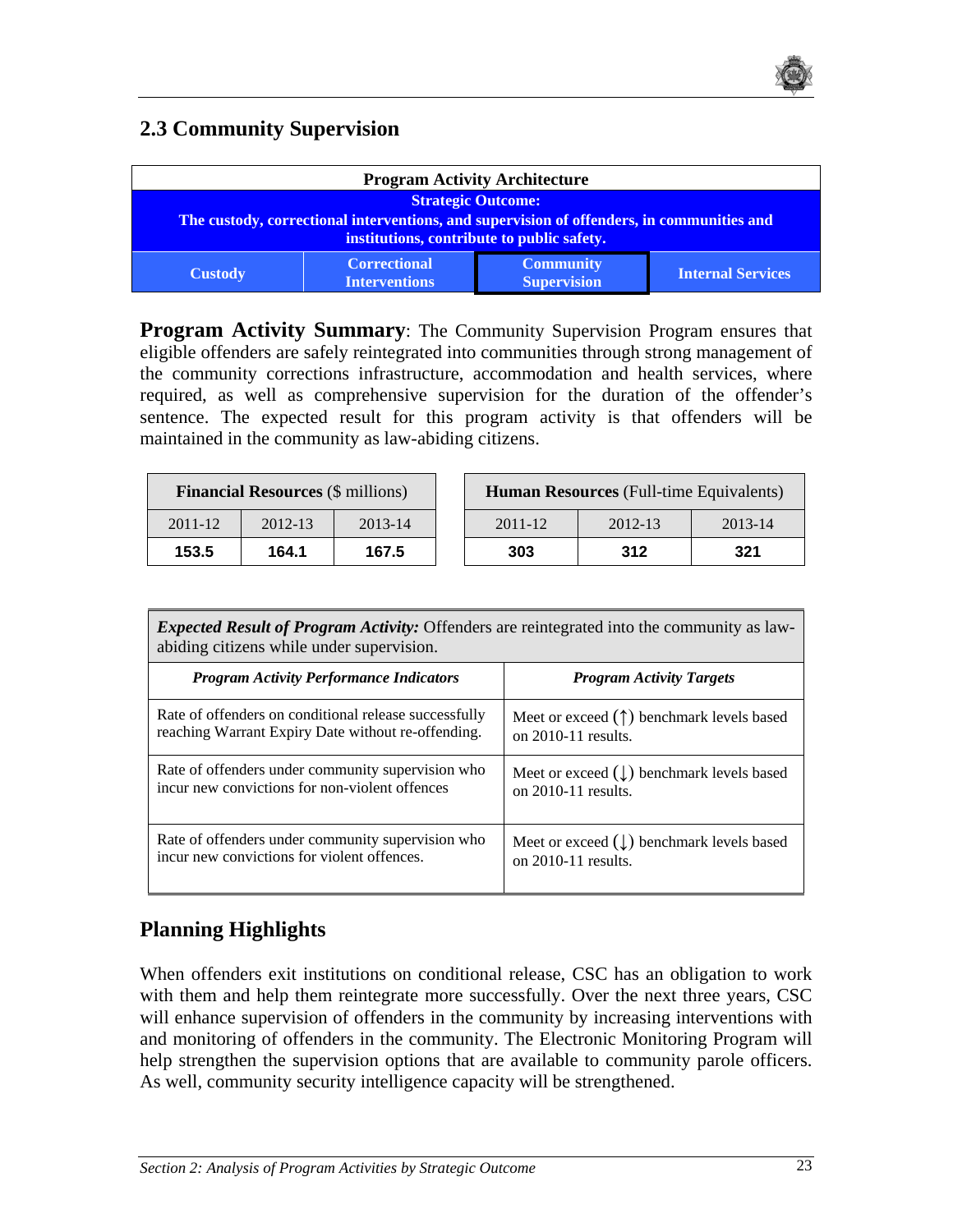

## <span id="page-28-0"></span>**2.3 Community Supervision**

| <b>Program Activity Architecture</b>                                                                                                    |                                             |                                        |                          |  |
|-----------------------------------------------------------------------------------------------------------------------------------------|---------------------------------------------|----------------------------------------|--------------------------|--|
| <b>Strategic Outcome:</b>                                                                                                               |                                             |                                        |                          |  |
| The custody, correctional interventions, and supervision of offenders, in communities and<br>institutions, contribute to public safety. |                                             |                                        |                          |  |
| <b>Custody</b>                                                                                                                          | <b>Correctional</b><br><b>Interventions</b> | <b>Community</b><br><b>Supervision</b> | <b>Internal Services</b> |  |

**Program Activity Summary:** The Community Supervision Program ensures that eligible offenders are safely reintegrated into communities through strong management of the community corrections infrastructure, accommodation and health services, where required, as well as comprehensive supervision for the duration of the offender's sentence. The expected result for this program activity is that offenders will be maintained in the community as law-abiding citizens.

|             | <b>Financial Resources</b> (\$ millions) |         | <b>Human Resources</b> (Full-time Equivalents) |         |         |         |
|-------------|------------------------------------------|---------|------------------------------------------------|---------|---------|---------|
| $2011 - 12$ | 2012-13                                  | 2013-14 |                                                | 2011-12 | 2012-13 | 2013-14 |
| 153.5       | 164.1                                    | 167.5   |                                                | 303     | 312     | 321     |

| <b>Expected Result of Program Activity:</b> Offenders are reintegrated into the community as law- |
|---------------------------------------------------------------------------------------------------|
| abiding citizens while under supervision.                                                         |

| <b>Program Activity Performance Indicators</b>        | <b>Program Activity Targets</b>                      |
|-------------------------------------------------------|------------------------------------------------------|
| Rate of offenders on conditional release successfully | Meet or exceed $(\uparrow)$ benchmark levels based   |
| reaching Warrant Expiry Date without re-offending.    | on $2010-11$ results.                                |
| Rate of offenders under community supervision who     | Meet or exceed $(\downarrow)$ benchmark levels based |
| incur new convictions for non-violent offences        | on $2010-11$ results.                                |
| Rate of offenders under community supervision who     | Meet or exceed $(\downarrow)$ benchmark levels based |
| incur new convictions for violent offences.           | on $2010-11$ results.                                |

# **Planning Highlights**

When offenders exit institutions on conditional release, CSC has an obligation to work with them and help them reintegrate more successfully. Over the next three years, CSC will enhance supervision of offenders in the community by increasing interventions with and monitoring of offenders in the community. The Electronic Monitoring Program will help strengthen the supervision options that are available to community parole officers. As well, community security intelligence capacity will be strengthened.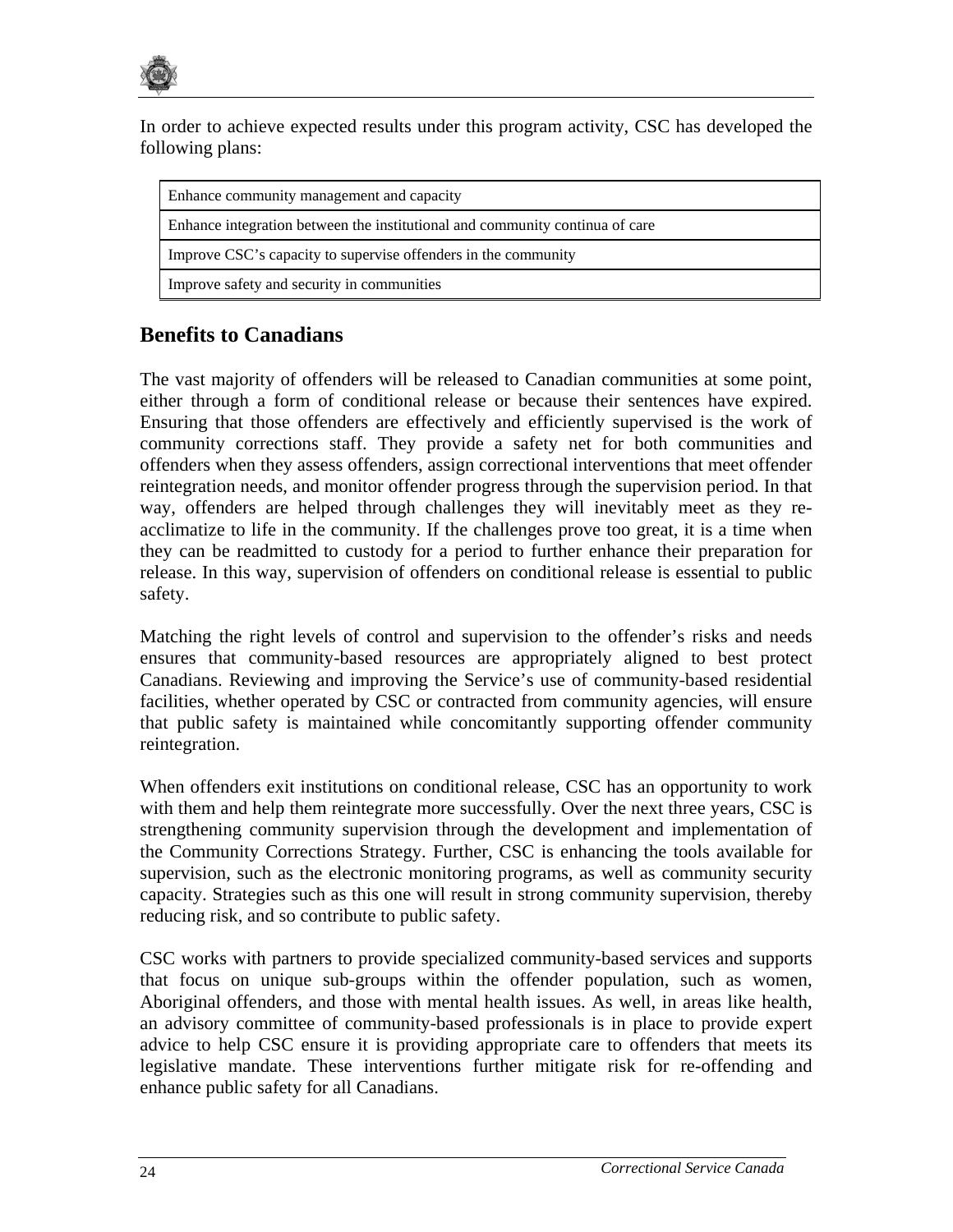

In order to achieve expected results under this program activity, CSC has developed the following plans:

| Enhance community management and capacity                                    |  |  |
|------------------------------------------------------------------------------|--|--|
| Enhance integration between the institutional and community continua of care |  |  |
| Improve CSC's capacity to supervise offenders in the community               |  |  |
| Improve safety and security in communities                                   |  |  |

## **Benefits to Canadians**

The vast majority of offenders will be released to Canadian communities at some point, either through a form of conditional release or because their sentences have expired. Ensuring that those offenders are effectively and efficiently supervised is the work of community corrections staff. They provide a safety net for both communities and offenders when they assess offenders, assign correctional interventions that meet offender reintegration needs, and monitor offender progress through the supervision period. In that way, offenders are helped through challenges they will inevitably meet as they reacclimatize to life in the community. If the challenges prove too great, it is a time when they can be readmitted to custody for a period to further enhance their preparation for release. In this way, supervision of offenders on conditional release is essential to public safety.

Matching the right levels of control and supervision to the offender's risks and needs ensures that community-based resources are appropriately aligned to best protect Canadians. Reviewing and improving the Service's use of community-based residential facilities, whether operated by CSC or contracted from community agencies, will ensure that public safety is maintained while concomitantly supporting offender community reintegration.

When offenders exit institutions on conditional release, CSC has an opportunity to work with them and help them reintegrate more successfully. Over the next three years, CSC is strengthening community supervision through the development and implementation of the Community Corrections Strategy. Further, CSC is enhancing the tools available for supervision, such as the electronic monitoring programs, as well as community security capacity. Strategies such as this one will result in strong community supervision, thereby reducing risk, and so contribute to public safety.

CSC works with partners to provide specialized community-based services and supports that focus on unique sub-groups within the offender population, such as women, Aboriginal offenders, and those with mental health issues. As well, in areas like health, an advisory committee of community-based professionals is in place to provide expert advice to help CSC ensure it is providing appropriate care to offenders that meets its legislative mandate. These interventions further mitigate risk for re-offending and enhance public safety for all Canadians.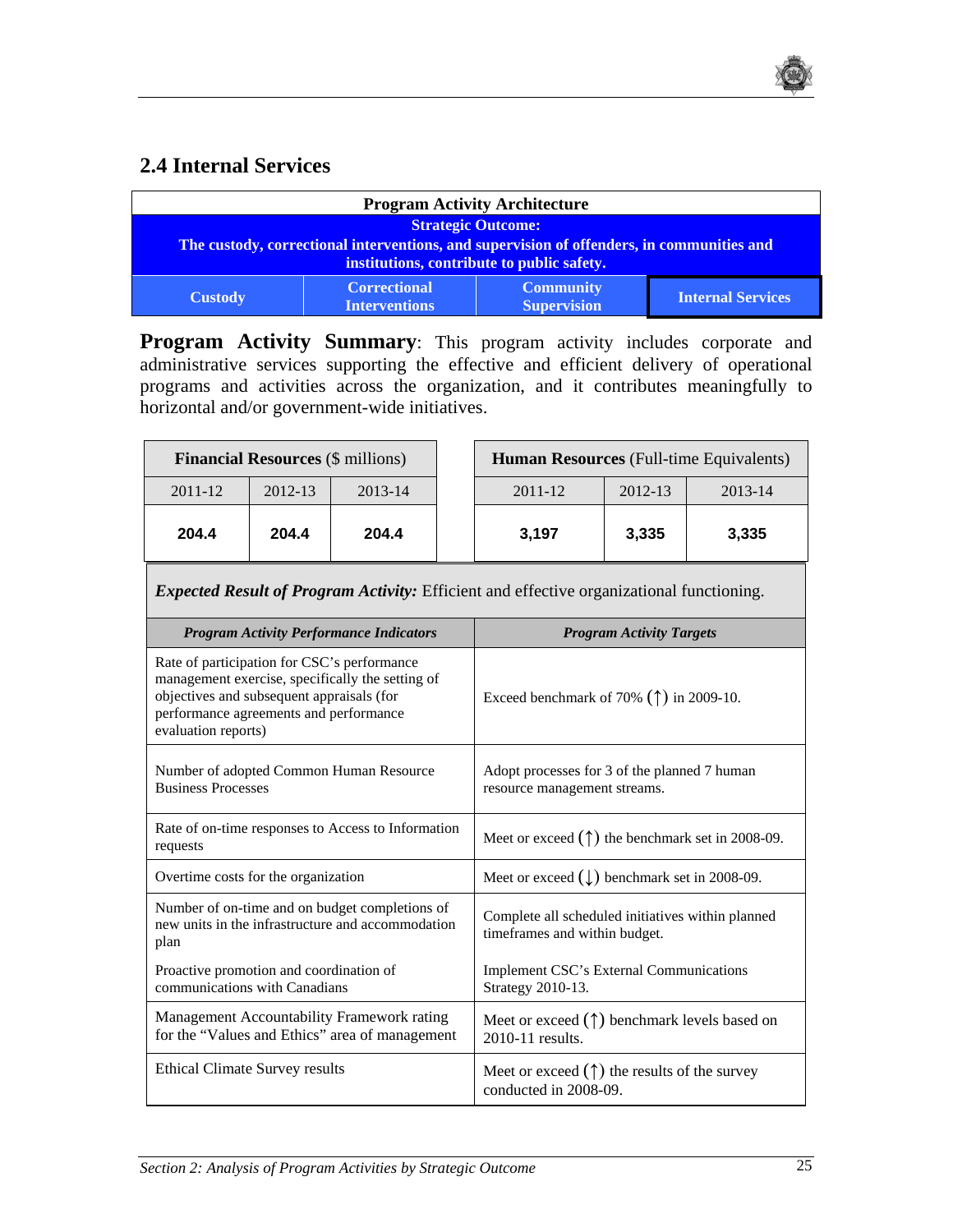

# <span id="page-30-0"></span>**2.4 Internal Services**

| <b>Program Activity Architecture</b>                                                                                                    |                                             |                                        |                          |
|-----------------------------------------------------------------------------------------------------------------------------------------|---------------------------------------------|----------------------------------------|--------------------------|
| <b>Strategic Outcome:</b>                                                                                                               |                                             |                                        |                          |
| The custody, correctional interventions, and supervision of offenders, in communities and<br>institutions, contribute to public safety. |                                             |                                        |                          |
|                                                                                                                                         |                                             |                                        |                          |
| <b>Custody</b>                                                                                                                          | <b>Correctional</b><br><b>Interventions</b> | <b>Community</b><br><b>Supervision</b> | <b>Internal Services</b> |

**Program Activity Summary**: This program activity includes corporate and administrative services supporting the effective and efficient delivery of operational programs and activities across the organization, and it contributes meaningfully to horizontal and/or government-wide initiatives.

|         | <b>Financial Resources</b> (\$ millions) |         | <b>Human Resources</b> (Full-time Equivalents) |         |         |
|---------|------------------------------------------|---------|------------------------------------------------|---------|---------|
| 2011-12 | 2012-13                                  | 2013-14 | 2011-12                                        | 2012-13 | 2013-14 |
| 204.4   | 204.4                                    | 204.4   | 3.197                                          | 3,335   | 3,335   |

| <b>Program Activity Performance Indicators</b>                                                                                                                                                                | <b>Program Activity Targets</b>                                                    |
|---------------------------------------------------------------------------------------------------------------------------------------------------------------------------------------------------------------|------------------------------------------------------------------------------------|
| Rate of participation for CSC's performance<br>management exercise, specifically the setting of<br>objectives and subsequent appraisals (for<br>performance agreements and performance<br>evaluation reports) | Exceed benchmark of 70% $(\uparrow)$ in 2009-10.                                   |
| Number of adopted Common Human Resource<br><b>Business Processes</b>                                                                                                                                          | Adopt processes for 3 of the planned 7 human<br>resource management streams.       |
| Rate of on-time responses to Access to Information<br>requests                                                                                                                                                | Meet or exceed $(\uparrow)$ the benchmark set in 2008-09.                          |
| Overtime costs for the organization                                                                                                                                                                           | Meet or exceed $(\downarrow)$ benchmark set in 2008-09.                            |
| Number of on-time and on budget completions of<br>new units in the infrastructure and accommodation<br>plan                                                                                                   | Complete all scheduled initiatives within planned<br>timeframes and within budget. |
| Proactive promotion and coordination of<br>communications with Canadians                                                                                                                                      | Implement CSC's External Communications<br>Strategy 2010-13.                       |
| Management Accountability Framework rating<br>for the "Values and Ethics" area of management                                                                                                                  | Meet or exceed $(\uparrow)$ benchmark levels based on<br>2010-11 results.          |
| <b>Ethical Climate Survey results</b>                                                                                                                                                                         | Meet or exceed $(\uparrow)$ the results of the survey<br>conducted in 2008-09.     |

*Expected Result of Program Activity:* Efficient and effective organizational functioning.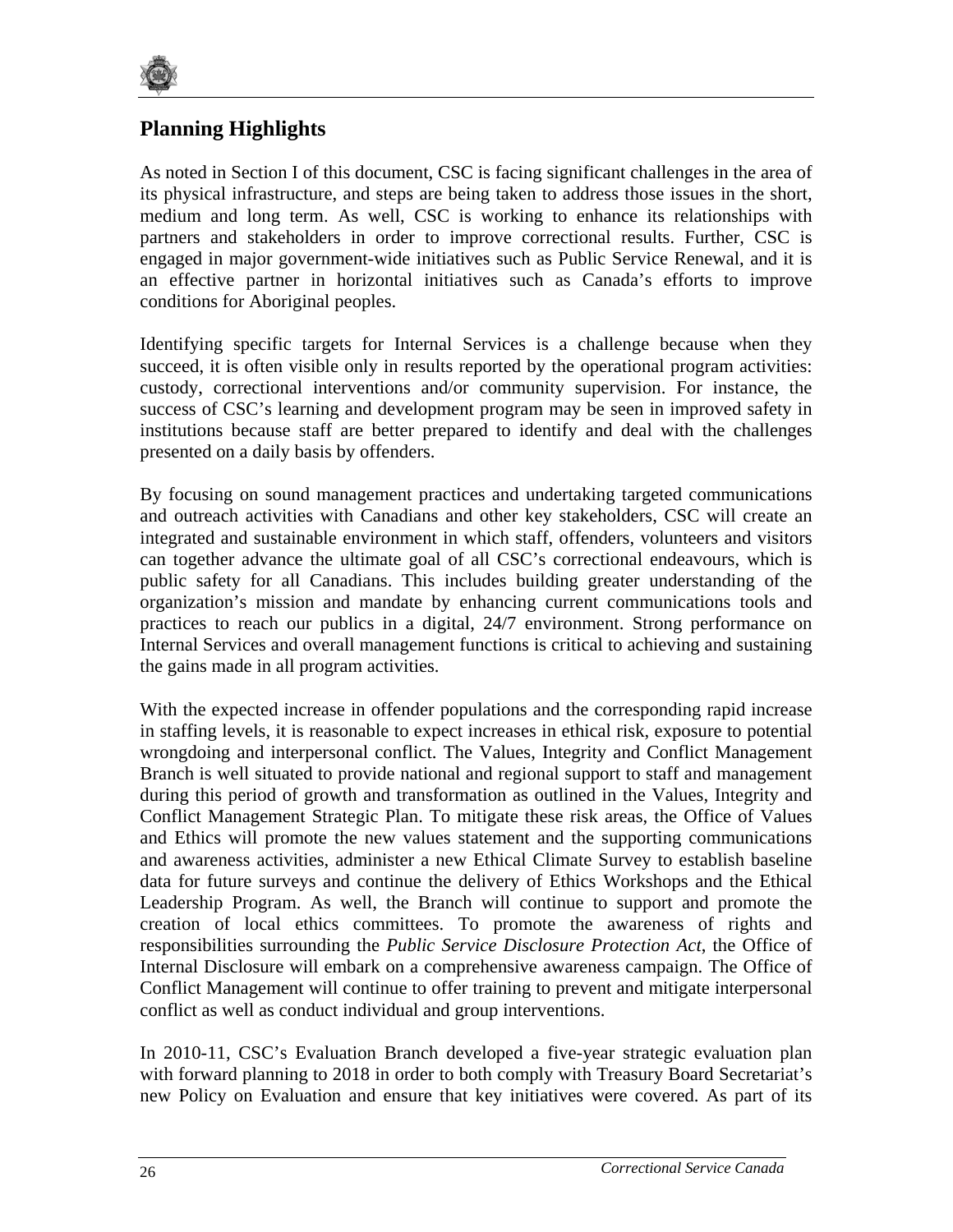

## **Planning Highlights**

As noted in Section I of this document, CSC is facing significant challenges in the area of its physical infrastructure, and steps are being taken to address those issues in the short, medium and long term. As well, CSC is working to enhance its relationships with partners and stakeholders in order to improve correctional results. Further, CSC is engaged in major government-wide initiatives such as Public Service Renewal, and it is an effective partner in horizontal initiatives such as Canada's efforts to improve conditions for Aboriginal peoples.

Identifying specific targets for Internal Services is a challenge because when they succeed, it is often visible only in results reported by the operational program activities: custody, correctional interventions and/or community supervision. For instance, the success of CSC's learning and development program may be seen in improved safety in institutions because staff are better prepared to identify and deal with the challenges presented on a daily basis by offenders.

By focusing on sound management practices and undertaking targeted communications and outreach activities with Canadians and other key stakeholders, CSC will create an integrated and sustainable environment in which staff, offenders, volunteers and visitors can together advance the ultimate goal of all CSC's correctional endeavours, which is public safety for all Canadians. This includes building greater understanding of the organization's mission and mandate by enhancing current communications tools and practices to reach our publics in a digital, 24/7 environment. Strong performance on Internal Services and overall management functions is critical to achieving and sustaining the gains made in all program activities.

With the expected increase in offender populations and the corresponding rapid increase in staffing levels, it is reasonable to expect increases in ethical risk, exposure to potential wrongdoing and interpersonal conflict. The Values, Integrity and Conflict Management Branch is well situated to provide national and regional support to staff and management during this period of growth and transformation as outlined in the Values, Integrity and Conflict Management Strategic Plan. To mitigate these risk areas, the Office of Values and Ethics will promote the new values statement and the supporting communications and awareness activities, administer a new Ethical Climate Survey to establish baseline data for future surveys and continue the delivery of Ethics Workshops and the Ethical Leadership Program. As well, the Branch will continue to support and promote the creation of local ethics committees. To promote the awareness of rights and responsibilities surrounding the *Public Service Disclosure Protection Act*, the Office of Internal Disclosure will embark on a comprehensive awareness campaign. The Office of Conflict Management will continue to offer training to prevent and mitigate interpersonal conflict as well as conduct individual and group interventions.

In 2010-11, CSC's Evaluation Branch developed a five-year strategic evaluation plan with forward planning to 2018 in order to both comply with Treasury Board Secretariat's new Policy on Evaluation and ensure that key initiatives were covered. As part of its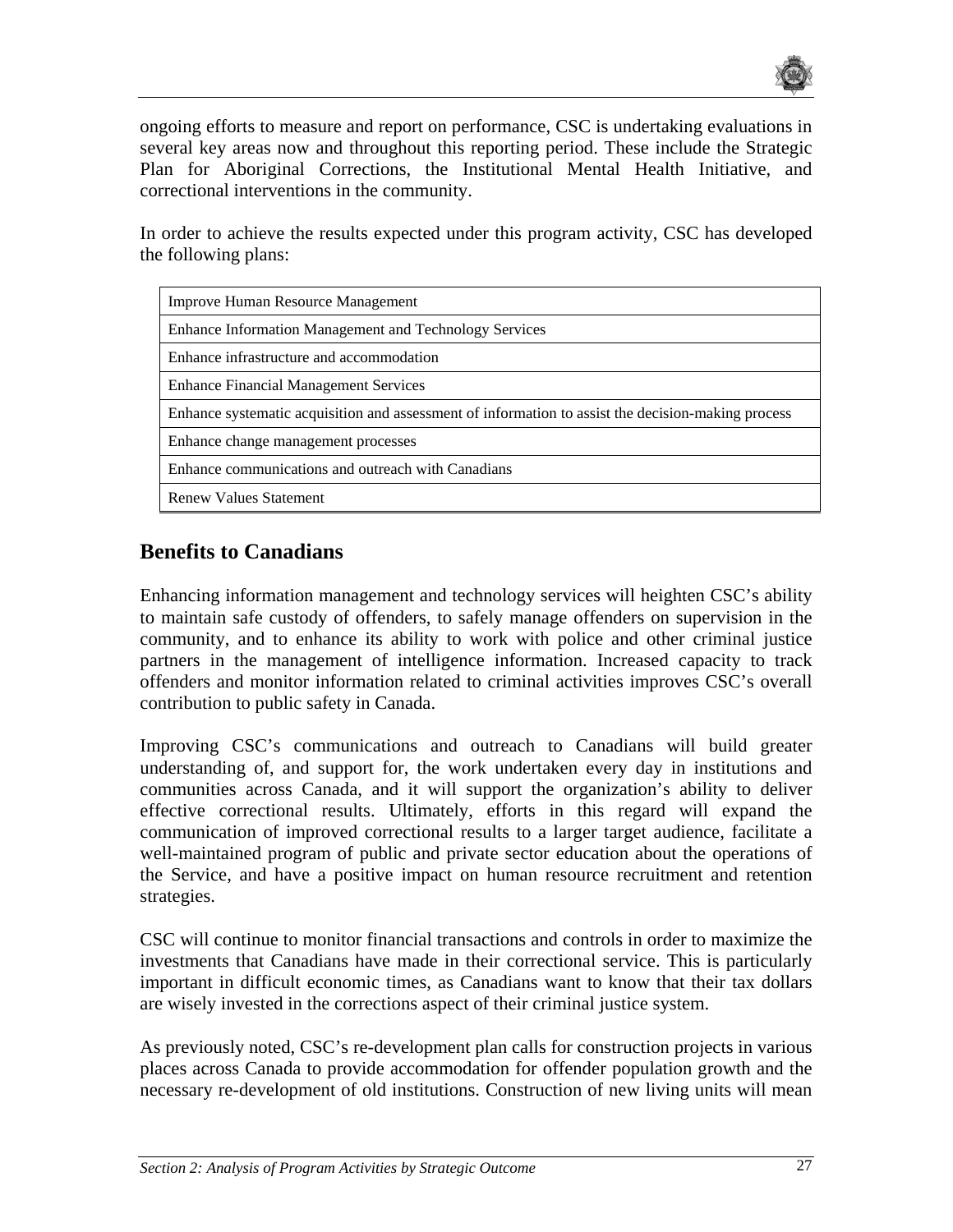

ongoing efforts to measure and report on performance, CSC is undertaking evaluations in several key areas now and throughout this reporting period. These include the Strategic Plan for Aboriginal Corrections, the Institutional Mental Health Initiative, and correctional interventions in the community.

In order to achieve the results expected under this program activity, CSC has developed the following plans:

| Improve Human Resource Management                                                                  |
|----------------------------------------------------------------------------------------------------|
| <b>Enhance Information Management and Technology Services</b>                                      |
| Enhance infrastructure and accommodation                                                           |
| <b>Enhance Financial Management Services</b>                                                       |
| Enhance systematic acquisition and assessment of information to assist the decision-making process |
| Enhance change management processes                                                                |
| Enhance communications and outreach with Canadians                                                 |
| <b>Renew Values Statement</b>                                                                      |

## **Benefits to Canadians**

Enhancing information management and technology services will heighten CSC's ability to maintain safe custody of offenders, to safely manage offenders on supervision in the community, and to enhance its ability to work with police and other criminal justice partners in the management of intelligence information. Increased capacity to track offenders and monitor information related to criminal activities improves CSC's overall contribution to public safety in Canada.

Improving CSC's communications and outreach to Canadians will build greater understanding of, and support for, the work undertaken every day in institutions and communities across Canada, and it will support the organization's ability to deliver effective correctional results. Ultimately, efforts in this regard will expand the communication of improved correctional results to a larger target audience, facilitate a well-maintained program of public and private sector education about the operations of the Service, and have a positive impact on human resource recruitment and retention strategies.

CSC will continue to monitor financial transactions and controls in order to maximize the investments that Canadians have made in their correctional service. This is particularly important in difficult economic times, as Canadians want to know that their tax dollars are wisely invested in the corrections aspect of their criminal justice system.

As previously noted, CSC's re-development plan calls for construction projects in various places across Canada to provide accommodation for offender population growth and the necessary re-development of old institutions. Construction of new living units will mean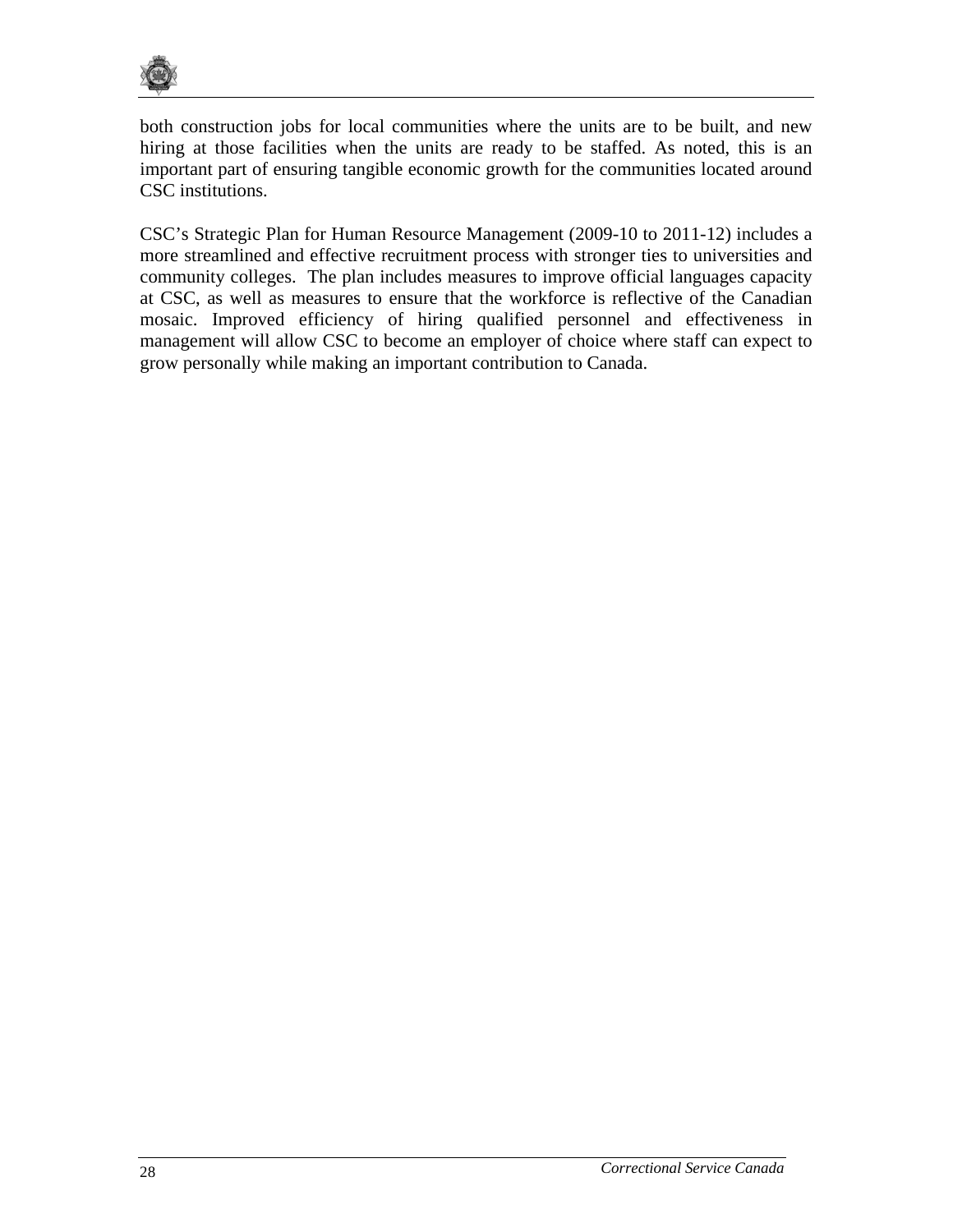

both construction jobs for local communities where the units are to be built, and new hiring at those facilities when the units are ready to be staffed. As noted, this is an important part of ensuring tangible economic growth for the communities located around CSC institutions.

CSC's Strategic Plan for Human Resource Management (2009-10 to 2011-12) includes a more streamlined and effective recruitment process with stronger ties to universities and community colleges. The plan includes measures to improve official languages capacity at CSC, as well as measures to ensure that the workforce is reflective of the Canadian mosaic. Improved efficiency of hiring qualified personnel and effectiveness in management will allow CSC to become an employer of choice where staff can expect to grow personally while making an important contribution to Canada.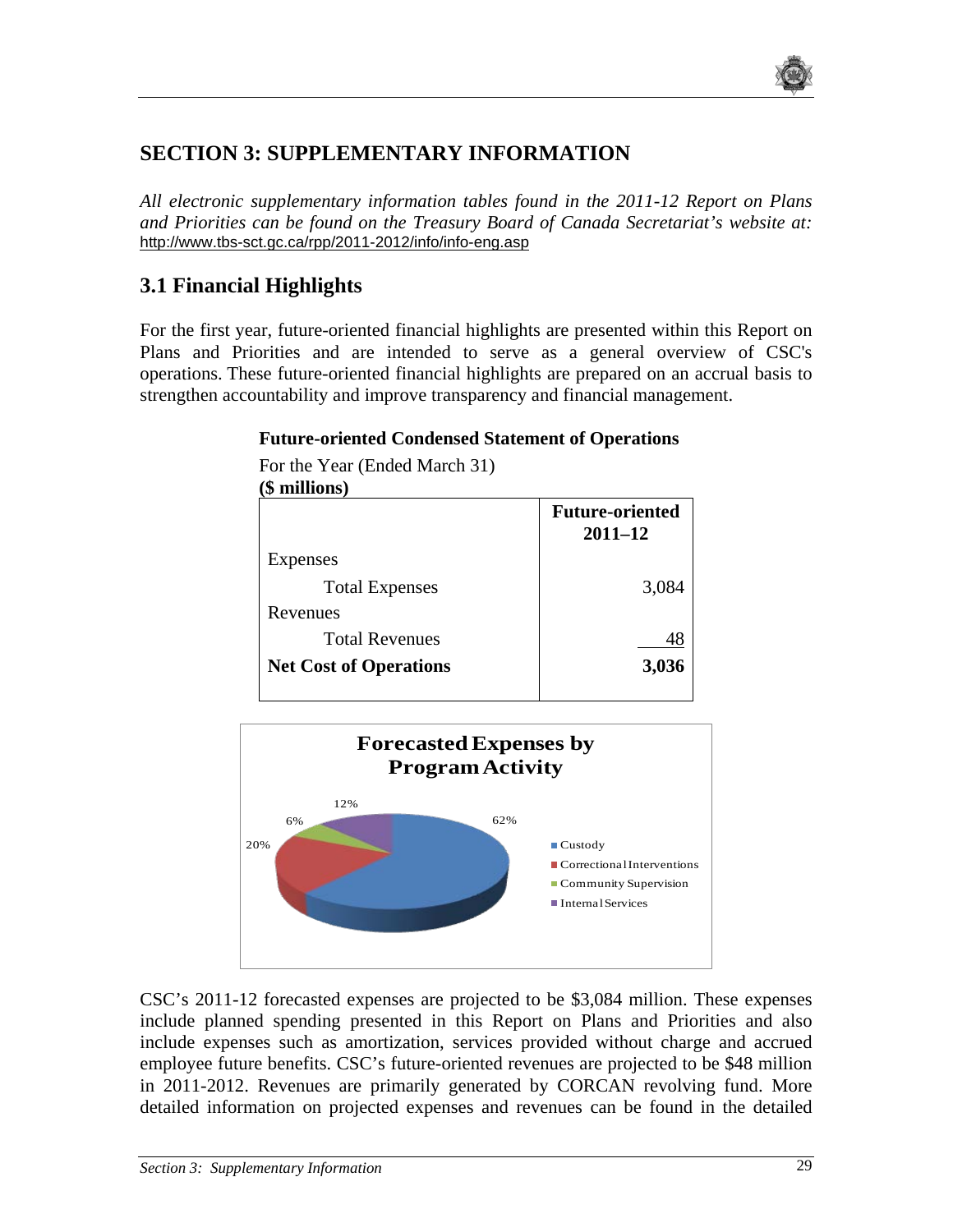

# <span id="page-34-0"></span>**SECTION 3: SUPPLEMENTARY INFORMATION**

*All electronic supplementary information tables found in the 2011-12 Report on Plans and Priorities can be found on the Treasury Board of Canada Secretariat's website at:* <http://www.tbs-sct.gc.ca/rpp/2011-2012/info/info-eng.asp>

## <span id="page-34-1"></span>**3.1 Financial Highlights**

For the first year, future-oriented financial highlights are presented within this Report on Plans and Priorities and are intended to serve as a general overview of CSC's operations. These future-oriented financial highlights are prepared on an accrual basis to strengthen accountability and improve transparency and financial management.

#### **Future-oriented Condensed Statement of Operations**

| (\$ millions)                 | <b>Future-oriented</b><br>$2011 - 12$ |
|-------------------------------|---------------------------------------|
| Expenses                      |                                       |
| <b>Total Expenses</b>         | 3,084                                 |
| Revenues                      |                                       |
| <b>Total Revenues</b>         | 48                                    |
| <b>Net Cost of Operations</b> | 3,036                                 |

For the Year (Ended March 31)



CSC's 2011-12 forecasted expenses are projected to be \$3,084 million. These expenses include planned spending presented in this Report on Plans and Priorities and also include expenses such as amortization, services provided without charge and accrued employee future benefits. CSC's future-oriented revenues are projected to be \$48 million in 2011-2012. Revenues are primarily generated by CORCAN revolving fund. More detailed information on projected expenses and revenues can be found in the detailed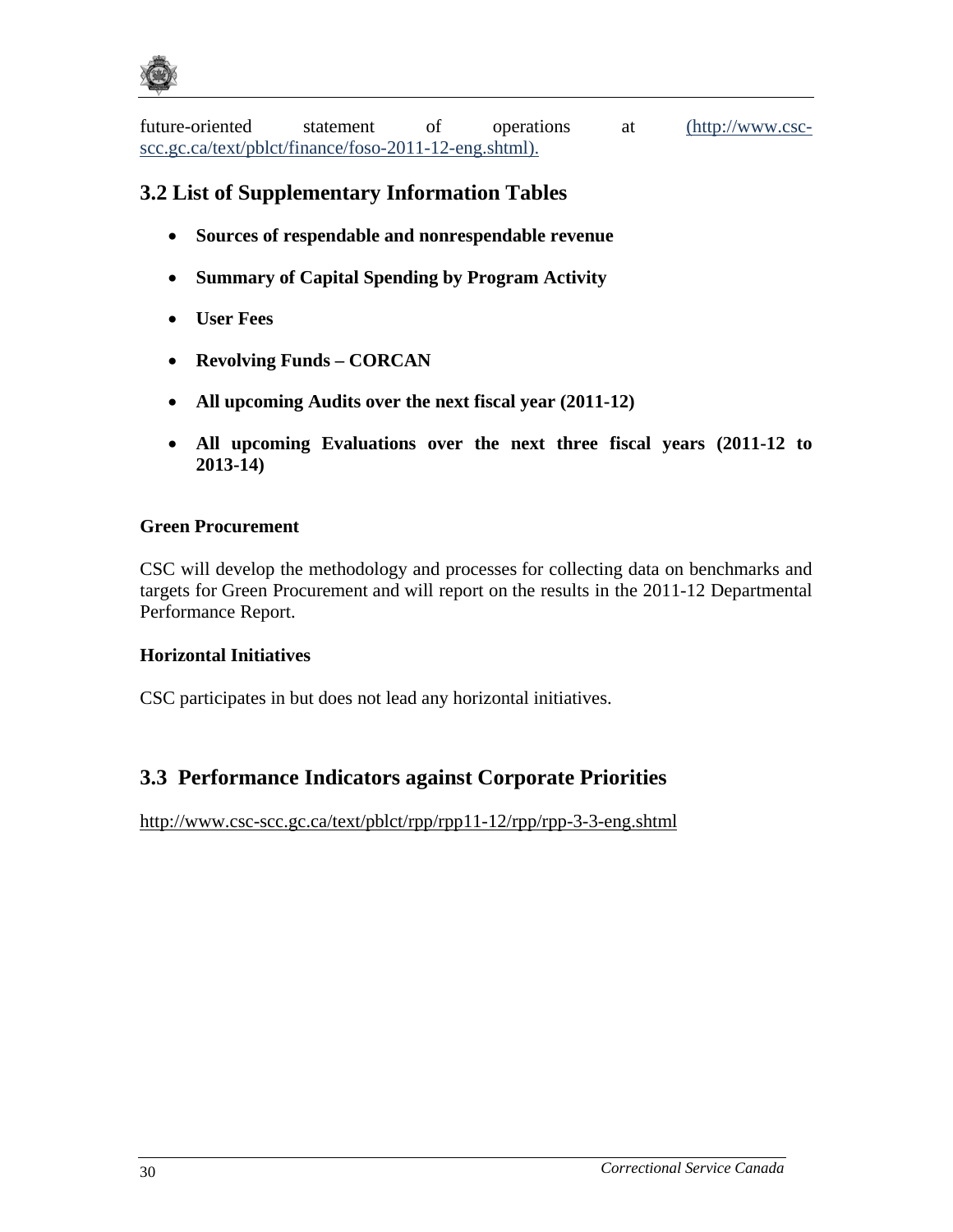

future-oriented statement of operations at  $(http://www.csc$ [scc.gc.ca/text/pblct/finance/foso-2011-12-eng.shtml\)](http://www.csc-scc.gc.ca/text/pblct/finance/foso-2011-12-eng.shtml).

#### <span id="page-35-0"></span>**3.2 List of Supplementary Information Tables**

- **Sources of respendable and nonrespendable revenue**
- **Summary of Capital Spending by Program Activity**
- **User Fees**
- **Revolving Funds – CORCAN**
- **All upcoming Audits over the next fiscal year (2011-12)**
- **All upcoming Evaluations over the next three fiscal years (2011-12 to 2013-14)**

#### **Green Procurement**

CSC will develop the methodology and processes for collecting data on benchmarks and targets for Green Procurement and will report on the results in the 2011-12 Departmental Performance Report.

#### **Horizontal Initiatives**

CSC participates in but does not lead any horizontal initiatives.

## <span id="page-35-1"></span>**3.3 Performance Indicators against Corporate Priorities**

<http://www.csc-scc.gc.ca/text/pblct/rpp/rpp11-12/rpp/rpp-3-3-eng.shtml>